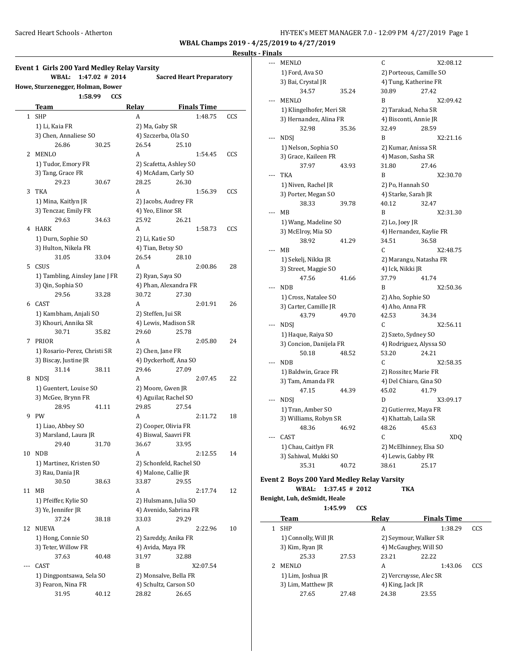**WBAL Champs 2019 - 4/25/2019 to 4/27/2019 Results - Finals**

# **Event 1 Girls 200 Yard Medley Relay Varsity WBAL: 1:47.02 # 2014 Sacred Heart Preparatory Howe, Sturzenegger, Holman, Bower 1:58.99 CCS Team Relay Finals Time** 1 SHP A 1:48.75 CCS 1) Li, Kaia FR 2) Ma, Gaby SR 3) Chen, Annaliese SO 4) Szczerba, Ola SO 26.86 30.25 26.54 25.10 2 MENLO A 1:54.45 CCS 1) Tudor, Emory FR 2) Scafetta, Ashley SO

|    | 26.86                          | 30.25 | 26.54                   | 25.10 |          |     |  |
|----|--------------------------------|-------|-------------------------|-------|----------|-----|--|
| 2  | MENLO                          |       | А                       |       | 1:54.45  | CCS |  |
|    | 1) Tudor, Emory FR             |       | 2) Scafetta, Ashley SO  |       |          |     |  |
|    | 3) Tang, Grace FR              |       | 4) McAdam, Carly SO     |       |          |     |  |
|    | 29.23                          | 30.67 | 28.25                   | 26.30 |          |     |  |
| 3  | <b>TKA</b>                     |       | A                       |       | 1:56.39  | CCS |  |
|    | 1) Mina, Kaitlyn JR            |       | 2) Jacobs, Audrey FR    |       |          |     |  |
|    | 3) Tenczar, Emily FR           |       | 4) Yeo, Elinor SR       |       |          |     |  |
|    | 29.63                          | 34.63 | 25.92                   | 26.21 |          |     |  |
| 4  | <b>HARK</b>                    |       | A                       |       | 1:58.73  | CCS |  |
|    | 1) Durn, Sophie SO             |       | 2) Li, Katie SO         |       |          |     |  |
|    | 3) Hulton, Nikela FR           |       | 4) Tian, Betsy SO       |       |          |     |  |
|    | 31.05                          | 33.04 | 26.54                   | 28.10 |          |     |  |
| 5  | CSUS                           |       | А                       |       | 2:00.86  | 28  |  |
|    | 1) Tambling, Ainsley Jane J FR |       | 2) Ryan, Saya SO        |       |          |     |  |
|    | 3) Qin, Sophia SO              |       | 4) Phan, Alexandra FR   |       |          |     |  |
|    | 29.56                          | 33.28 | 30.72                   | 27.30 |          |     |  |
| 6  | CAST                           |       | A                       |       | 2:01.91  | 26  |  |
|    | 1) Kambham, Anjali SO          |       | 2) Steffen, Jui SR      |       |          |     |  |
|    | 3) Khouri, Annika SR           |       | 4) Lewis, Madison SR    |       |          |     |  |
|    | 30.71                          | 35.82 | 29.60                   | 25.78 |          |     |  |
| 7  | PRIOR                          |       | A                       |       | 2:05.80  | 24  |  |
|    | 1) Rosario-Perez, Christi SR   |       | 2) Chen, Jane FR        |       |          |     |  |
|    | 3) Biscay, Justine JR          |       | 4) Dyckerhoff, Ana SO   |       |          |     |  |
|    | 31.14                          | 38.11 | 29.46                   | 27.09 |          |     |  |
| 8  | <b>NDSJ</b>                    |       | A                       |       | 2:07.45  | 22  |  |
|    | 1) Guentert, Louise SO         |       | 2) Moore, Gwen JR       |       |          |     |  |
|    | 3) McGee, Brynn FR             |       | 4) Aguilar, Rachel SO   |       |          |     |  |
|    | 28.95                          | 41.11 | 29.85                   | 27.54 |          |     |  |
| 9  | <b>PW</b>                      |       | А                       |       | 2:11.72  | 18  |  |
|    | 1) Liao, Abbey SO              |       | 2) Cooper, Olivia FR    |       |          |     |  |
|    | 3) Marsland, Laura JR          |       | 4) Biswal, Saavri FR    |       |          |     |  |
|    | 29.40                          | 31.70 | 36.67                   | 33.95 |          |     |  |
| 10 | <b>NDB</b>                     |       | A                       |       | 2:12.55  | 14  |  |
|    | 1) Martinez, Kristen SO        |       | 2) Schonfeld, Rachel SO |       |          |     |  |
|    | 3) Rau, Dania JR               |       | 4) Malone, Callie JR    |       |          |     |  |
|    | 30.50                          | 38.63 | 33.87                   | 29.55 |          |     |  |
| 11 | MВ                             |       | A                       |       | 2:17.74  | 12  |  |
|    | 1) Pfeiffer, Kylie SO          |       | 2) Hulsmann, Julia SO   |       |          |     |  |
|    | 3) Ye, Jennifer JR             |       | 4) Avenido, Sabrina FR  |       |          |     |  |
|    | 37.24                          | 38.18 | 33.03                   | 29.29 |          |     |  |
| 12 | NUEVA                          |       | A                       |       | 2:22.96  | 10  |  |
|    | 1) Hong, Connie SO             |       | 2) Sareddy, Anika FR    |       |          |     |  |
|    | 3) Teter, Willow FR            |       | 4) Avida, Maya FR       |       |          |     |  |
|    | 37.63                          | 40.48 | 31.97                   | 32.88 |          |     |  |
|    | CAST                           |       | B                       |       | X2:07.54 |     |  |
|    | 1) Dingpontsawa, Sela SO       |       | 2) Monsalve, Bella FR   |       |          |     |  |
|    | 3) Fearon, Nina FR             |       | 4) Schultz, Carson SO   |       |          |     |  |
|    | 31.95                          | 40.12 | 28.82                   | 26.65 |          |     |  |
|    |                                |       |                         |       |          |     |  |

|     | MENLO                    |       | C                       | X2:08.12   |  |
|-----|--------------------------|-------|-------------------------|------------|--|
|     | 1) Ford, Ava SO          |       | 2) Porteous, Camille SO |            |  |
|     | 3) Bai, Crystal JR       |       | 4) Tung, Katherine FR   |            |  |
|     | 34.57                    | 35.24 | 30.89                   | 27.42      |  |
|     | <b>MENLO</b>             |       | B                       | X2:09.42   |  |
|     | 1) Klingelhofer, Meri SR |       | 2) Tarakad, Neha SR     |            |  |
|     | 3) Hernandez, Alina FR   |       | 4) Bisconti, Annie JR   |            |  |
|     | 32.98                    | 35.36 | 32.49                   | 28.59      |  |
| --- | <b>NDSI</b>              |       | B                       | X2:21.16   |  |
|     | 1) Nelson, Sophia SO     |       | 2) Kumar, Anissa SR     |            |  |
|     | 3) Grace, Kaileen FR     |       | 4) Mason, Sasha SR      |            |  |
|     | 37.97                    | 43.93 | 31.80                   | 27.46      |  |
|     | <b>TKA</b>               |       | B                       | X2:30.70   |  |
|     | 1) Niven, Rachel JR      |       | 2) Po, Hannah SO        |            |  |
|     | 3) Porter, Megan SO      |       | 4) Starke, Sarah JR     |            |  |
|     | 38.33                    | 39.78 | 40.12                   | 32.47      |  |
|     | MB                       |       | B                       | X2:31.30   |  |
|     | 1) Wang, Madeline SO     |       | 2) Lo, Joey JR          |            |  |
|     | 3) McElroy, Mia SO       |       | 4) Hernandez, Kaylie FR |            |  |
|     | 38.92                    | 41.29 | 34.51                   | 36.58      |  |
|     | MB                       |       | C                       | X2:48.75   |  |
|     | 1) Sekelj, Nikka JR      |       | 2) Marangu, Natasha FR  |            |  |
|     | 3) Street, Maggie SO     |       | 4) Ick, Nikki JR        |            |  |
|     | 47.56                    | 41.66 | 37.79                   | 41.74      |  |
|     | NDB                      |       | B                       | X2:50.36   |  |
|     | 1) Cross, Natalee SO     |       | 2) Aho, Sophie SO       |            |  |
|     | 3) Carter, Camille JR    |       | 4) Aho, Anna FR         |            |  |
|     | 43.79                    | 49.70 | 42.53                   | 34.34      |  |
|     | <b>NDSI</b>              |       | C                       | X2:56.11   |  |
|     | 1) Haque, Raiya SO       |       | 2) Szeto, Sydney SO     |            |  |
|     | 3) Concion, Danijela FR  |       | 4) Rodriguez, Alyssa SO |            |  |
|     | 50.18                    | 48.52 | 53.20                   | 24.21      |  |
|     | <b>NDB</b>               |       | C                       | X2:58.35   |  |
|     | 1) Baldwin, Grace FR     |       | 2) Rossiter, Marie FR   |            |  |
|     | 3) Tam, Amanda FR        |       | 4) Del Chiaro, Gina SO  |            |  |
|     | 47.15                    | 44.39 | 45.02                   | 41.79      |  |
|     | <b>NDSI</b>              |       | D                       | X3:09.17   |  |
|     | 1) Tran, Amber SO        |       | 2) Gutierrez, Maya FR   |            |  |
|     | 3) Williams, Robyn SR    |       | 4) Khattab, Laila SR    |            |  |
|     | 48.36                    | 46.92 | 48.26                   | 45.63      |  |
|     | CAST                     |       | C                       | <b>XDQ</b> |  |
|     | 1) Chau, Caitlyn FR      |       | 2) McElhinney, Elsa SO  |            |  |
|     | 3) Sahiwal, Mukki SO     |       | 4) Lewis, Gabby FR      |            |  |
|     | 35.31                    | 40.72 | 38.61                   | 25.17      |  |
|     |                          |       |                         |            |  |

# **Event 2 Boys 200 Yard Medley Relay Varsity**

#### **WBAL: 1:37.45 # 2012 TKA Benight, Luh, deSmidt, Heale**

**1:45.99 CCS**

 $\overline{\phantom{a}}$ 

| Team                 |       | Relay                  | <b>Finals Time</b> |     |  |  |
|----------------------|-------|------------------------|--------------------|-----|--|--|
| <b>SHP</b>           |       | А                      | 1:38.29            | CCS |  |  |
| 1) Connolly, Will JR |       | 2) Seymour, Walker SR  |                    |     |  |  |
| 3) Kim, Ryan JR      |       | 4) McGaughey, Will SO  |                    |     |  |  |
| 25.33                | 27.53 | 23.21                  | 22.22              |     |  |  |
| <b>MENLO</b>         |       | A                      | 1:43.06            | CCS |  |  |
| 1) Lim, Joshua JR    |       | 2) Vercruysse, Alec SR |                    |     |  |  |
| 3) Lim, Matthew JR   |       | 4) King, Jack JR       |                    |     |  |  |
| 27.65                | 27.48 | 24.38                  | 23.55              |     |  |  |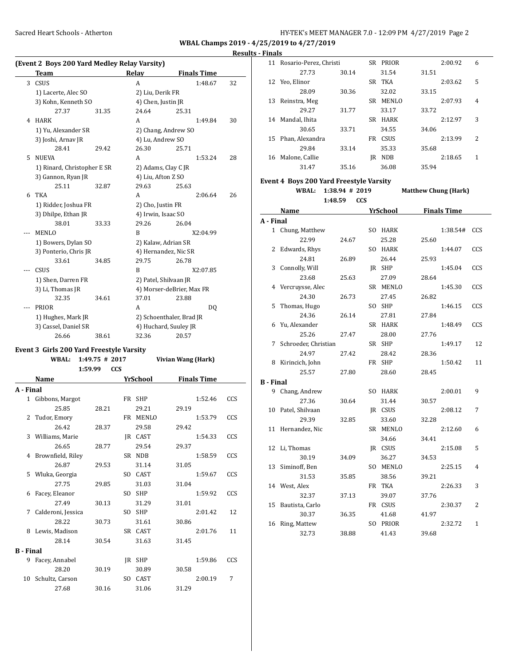$\overline{a}$ 

**WBAL Champs 2019 - 4/25/2019 to 4/27/2019**

#### **Results - Finals**

**A - Final**

**B** 

|   | (Event 2 Boys 200 Yard Medley Relay Varsity) |       |                          |                           |    |  |  |  |
|---|----------------------------------------------|-------|--------------------------|---------------------------|----|--|--|--|
|   | Team                                         |       | Relay                    | <b>Finals Time</b>        |    |  |  |  |
| 3 | CSUS                                         |       | A                        | 1:48.67                   | 32 |  |  |  |
|   | 1) Lacerte, Alec SO                          |       | 2) Liu, Derik FR         |                           |    |  |  |  |
|   | 3) Kohn, Kenneth SO                          |       | 4) Chen, Justin JR       |                           |    |  |  |  |
|   | 27.37                                        | 31.35 | 24.64                    | 25.31                     |    |  |  |  |
| 4 | <b>HARK</b>                                  |       | A                        | 1:49.84                   | 30 |  |  |  |
|   | 1) Yu, Alexander SR                          |       |                          | 2) Chang, Andrew SO       |    |  |  |  |
|   | 3) Joshi, Arnav JR                           |       | 4) Lu, Andrew SO         |                           |    |  |  |  |
|   | 28.41                                        | 29.42 | 26.30                    | 25.71                     |    |  |  |  |
| 5 | <b>NUEVA</b>                                 |       | A                        | 1:53.24                   | 28 |  |  |  |
|   | 1) Rinard, Christopher E SR                  |       |                          | 2) Adams, Clay C JR       |    |  |  |  |
|   | 3) Gannon, Ryan JR                           |       | 4) Liu, Afton Z SO       |                           |    |  |  |  |
|   | 25.11                                        | 32.87 | 29.63                    | 25.63                     |    |  |  |  |
| 6 | <b>TKA</b>                                   |       | A                        | 2:06.64                   | 26 |  |  |  |
|   | 1) Ridder, Joshua FR                         |       | 2) Cho, Justin FR        |                           |    |  |  |  |
|   | 3) Dhilpe, Ethan JR                          |       | 4) Irwin, Isaac SO       |                           |    |  |  |  |
|   | 38.01                                        | 33.33 | 29.26                    | 26.04                     |    |  |  |  |
|   | <b>MENLO</b>                                 |       | B                        | X2:04.99                  |    |  |  |  |
|   | 1) Bowers, Dylan SO                          |       | 2) Kalaw, Adrian SR      |                           |    |  |  |  |
|   | 3) Ponterio, Chris JR                        |       | 4) Hernandez, Nic SR     |                           |    |  |  |  |
|   | 33.61                                        | 34.85 | 29.75                    | 26.78                     |    |  |  |  |
|   | CSUS                                         |       | B                        | X2:07.85                  |    |  |  |  |
|   | 1) Shen, Darren FR                           |       | 2) Patel, Shilvaan JR    |                           |    |  |  |  |
|   | 3) Li, Thomas JR                             |       |                          | 4) Morser-deBrier, Max FR |    |  |  |  |
|   | 32.35                                        | 34.61 | 37.01                    | 23.88                     |    |  |  |  |
|   | PRIOR                                        |       | A                        | DO.                       |    |  |  |  |
|   | 1) Hughes, Mark JR                           |       | 2) Schoenthaler, Brad JR |                           |    |  |  |  |
|   | 3) Cassel, Daniel SR                         |       |                          | 4) Huchard, Suuley JR     |    |  |  |  |
|   | 26.66                                        | 38.61 | 32.36                    | 20.57                     |    |  |  |  |

#### **Event 3 Girls 200 Yard Freestyle Varsity**

|           | <b>WBAL:</b>         | $1:49.75$ # 2017      |                 | Vivian Wang (Hark) |     |
|-----------|----------------------|-----------------------|-----------------|--------------------|-----|
|           | Name                 | 1:59.99<br><b>CCS</b> | <b>YrSchool</b> | <b>Finals Time</b> |     |
| A - Final |                      |                       |                 |                    |     |
|           | 1 Gibbons, Margot    |                       | FR SHP          | 1:52.46            | CCS |
|           | 25.85                | 28.21                 | 29.21           | 29.19              |     |
|           | 2 Tudor, Emory       |                       | FR MENLO        | 1:53.79            | CCS |
|           | 26.42                | 28.37                 | 29.58           | 29.42              |     |
|           | 3 Williams, Marie    |                       | IR CAST         | 1:54.33            | CCS |
|           | 26.65                | 28.77                 | 29.54           | 29.37              |     |
| 4         | Brownfield, Riley    |                       | SR NDB          | 1:58.59            | CCS |
|           | 26.87                | 29.53                 | 31.14           | 31.05              |     |
|           | 5 Wluka, Georgia     |                       | SO CAST         | 1:59.67            | CCS |
|           | 27.75                | 29.85                 | 31.03           | 31.04              |     |
| 6         | Facey, Eleanor       |                       | SO SHP          | 1:59.92            | CCS |
|           | 27.49                | 30.13                 | 31.29           | 31.01              |     |
|           | 7 Calderoni, Jessica |                       | SO SHP          | 2:01.42            | 12  |
|           | 28.22                | 30.73                 | 31.61           | 30.86              |     |
| 8         | Lewis, Madison       |                       | SR CAST         | 2:01.76            | 11  |
|           | 28.14                | 30.54                 | 31.63           | 31.45              |     |
| B - Final |                      |                       |                 |                    |     |
| 9         | Facey, Annabel       |                       | IR SHP          | 1:59.86            | CCS |
|           | 28.20                | 30.19                 | 30.89           | 30.58              |     |
|           | 10 Schultz, Carson   |                       | SO CAST         | 2:00.19            | 7   |
|           | 27.68                | 30.16                 | 31.06           | 31.29              |     |
|           |                      |                       |                 |                    |     |

| 11 | Rosario-Perez, Christi |       | SR  | PRIOR        |       | 2:00.92 | 6              |
|----|------------------------|-------|-----|--------------|-------|---------|----------------|
|    | 27.73                  | 30.14 |     | 31.54        | 31.51 |         |                |
| 12 | Yeo, Elinor            |       | SR  | TKA          |       | 2:03.62 | 5              |
|    | 28.09                  | 30.36 |     | 32.02        | 33.15 |         |                |
| 13 | Reinstra, Meg          |       | SR. | <b>MENLO</b> |       | 2:07.93 | $\overline{4}$ |
|    | 29.27                  | 31.77 |     | 33.17        | 33.72 |         |                |
| 14 | Mandal, Ihita          |       | SR. | <b>HARK</b>  |       | 2:12.97 | 3              |
|    | 30.65                  | 33.71 |     | 34.55        | 34.06 |         |                |
| 15 | Phan, Alexandra        |       | FR  | CSUS         |       | 2:13.99 | 2              |
|    | 29.84                  | 33.14 |     | 35.33        | 35.68 |         |                |
| 16 | Malone, Callie         |       | IR  | <b>NDB</b>   |       | 2:18.65 | 1              |
|    | 31.47                  | 35.16 |     | 36.08        | 35.94 |         |                |
|    |                        |       |     |              |       |         |                |

### **Event 4 Boys 200 Yard Freestyle Varsity WBAL: 1:38.94 # 2019 Matthew Chung (Hark)**

|   |                  | 1:48.59 | <b>CCS</b> |              |       |                    |     |
|---|------------------|---------|------------|--------------|-------|--------------------|-----|
|   | Name             |         |            | YrSchool     |       | <b>Finals Time</b> |     |
|   | Final            |         |            |              |       |                    |     |
|   | Chung, Matthew   |         | SO.        | <b>HARK</b>  |       | 1:38.54#           | CCS |
|   | 22.99            | 24.67   |            | 25.28        | 25.60 |                    |     |
| 2 | Edwards, Rhys    |         | SO.        | <b>HARK</b>  |       | 1:44.07            | CCS |
|   | 24.81            | 26.89   |            | 26.44        | 25.93 |                    |     |
| 3 | Connolly, Will   |         | IR         | <b>SHP</b>   |       | 1:45.04            | CCS |
|   | 23.68            | 25.63   |            | 27.09        | 28.64 |                    |     |
| 4 | Vercruysse, Alec |         | SR         | <b>MENLO</b> |       | 1:45.30            | CCS |
|   |                  |         |            |              |       |                    |     |

|         | 24.30                | 26.73 |     | 27.45        | 26.82 |         |                |
|---------|----------------------|-------|-----|--------------|-------|---------|----------------|
| 5       | Thomas, Hugo         |       | SO. | <b>SHP</b>   |       | 1:46.15 | CCS            |
|         | 24.36                | 26.14 |     | 27.81        | 27.84 |         |                |
| 6       | Yu, Alexander        |       |     | SR HARK      |       | 1:48.49 | CCS            |
|         | 25.26                | 27.47 |     | 28.00        | 27.76 |         |                |
| 7       | Schroeder, Christian |       |     | SR SHP       |       | 1:49.17 | 12             |
|         | 24.97                | 27.42 |     | 28.42        | 28.36 |         |                |
| 8       | Kirincich, John      |       |     | FR SHP       |       | 1:50.42 | 11             |
|         | 25.57                | 27.80 |     | 28.60        | 28.45 |         |                |
| - Final |                      |       |     |              |       |         |                |
| 9       | Chang, Andrew        |       | SO. | <b>HARK</b>  |       | 2:00.01 | 9              |
|         | 27.36                | 30.64 |     | 31.44        | 30.57 |         |                |
| 10      | Patel, Shilvaan      |       | IR  | CSUS         |       | 2:08.12 | 7              |
|         | 29.39                | 32.85 |     | 33.60        | 32.28 |         |                |
| 11      | Hernandez, Nic       |       |     | SR MENLO     |       | 2:12.60 | 6              |
|         |                      |       |     | 34.66        | 34.41 |         |                |
| 12      | Li, Thomas           |       | IR  | CSUS         |       | 2:15.08 | 5              |
|         | 30.19                | 34.09 |     | 36.27        | 34.53 |         |                |
| 13      | Siminoff, Ben        |       | SO. | <b>MENLO</b> |       | 2:25.15 | $\overline{4}$ |
|         | 31.53                | 35.85 |     | 38.56        | 39.21 |         |                |
|         | 14 West, Alex        |       |     | FR TKA       |       | 2:26.33 | 3              |
|         | 32.37                | 37.13 |     | 39.07        | 37.76 |         |                |
| 15      | Bautista, Carlo      |       |     | FR CSUS      |       | 2:30.37 | 2              |
|         | 30.37                | 36.35 |     | 41.68        | 41.97 |         |                |
| 16      | Ring, Mattew         |       | SO. | PRIOR        |       | 2:32.72 | $\mathbf{1}$   |
|         | 32.73                | 38.88 |     | 41.43        | 39.68 |         |                |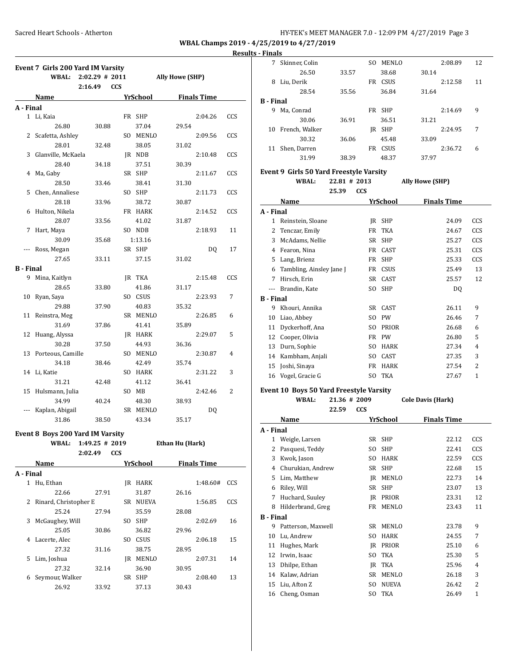### **Results - Finals**

|                       | Event 7 Girls 200 Yard IM Varsity |                  |            |          |                        |                    |     |  |
|-----------------------|-----------------------------------|------------------|------------|----------|------------------------|--------------------|-----|--|
|                       | <b>WBAL:</b>                      | $2:02.29$ # 2011 |            |          | <b>Ally Howe (SHP)</b> |                    |     |  |
|                       |                                   | 2:16.49          | <b>CCS</b> |          |                        |                    |     |  |
|                       | Name                              |                  |            | YrSchool |                        | <b>Finals Time</b> |     |  |
| A - Final             |                                   |                  |            |          |                        |                    |     |  |
|                       | 1 Li, Kaia                        |                  |            | FR SHP   |                        | 2:04.26            | CCS |  |
|                       | 26.80                             | 30.88            |            | 37.04    | 29.54                  |                    |     |  |
| 2                     | Scafetta, Ashley                  |                  |            | SO MENLO |                        | 2:09.56            | CCS |  |
|                       | 28.01                             | 32.48            |            | 38.05    | 31.02                  |                    |     |  |
| 3                     | Glanville, McKaela                |                  |            | JR NDB   |                        | 2:10.48            | CCS |  |
|                       | 28.40                             | 34.18            |            | 37.51    | 30.39                  |                    |     |  |
| 4                     | Ma, Gaby                          |                  |            | SR SHP   |                        | 2:11.67            | CCS |  |
|                       | 28.50                             | 33.46            |            | 38.41    | 31.30                  |                    |     |  |
| 5                     | Chen, Annaliese                   |                  |            | SO SHP   |                        | 2:11.73            | CCS |  |
|                       | 28.18                             | 33.96            |            | 38.72    | 30.87                  |                    |     |  |
| 6                     | Hulton, Nikela                    |                  |            | FR HARK  |                        | 2:14.52            | CCS |  |
|                       | 28.07                             | 33.56            |            | 41.02    | 31.87                  |                    |     |  |
| 7                     | Hart, Maya                        |                  |            | SO NDB   |                        | 2:18.93            | 11  |  |
|                       | 30.09                             | 35.68            |            | 1:13.16  |                        |                    |     |  |
| ---                   | Ross, Megan                       |                  |            | SR SHP   |                        | DQ                 | 17  |  |
|                       | 27.65                             | 33.11            |            | 37.15    | 31.02                  |                    |     |  |
| <b>B</b> - Final      |                                   |                  |            |          |                        |                    |     |  |
| 9                     | Mina, Kaitlyn                     |                  |            | JR TKA   |                        | 2:15.48            | CCS |  |
|                       | 28.65                             | 33.80            |            | 41.86    | 31.17                  |                    |     |  |
| 10                    | Ryan, Saya                        |                  |            | SO CSUS  |                        | 2:23.93            | 7   |  |
|                       | 29.88                             | 37.90            |            | 40.83    | 35.32                  |                    |     |  |
| 11                    | Reinstra, Meg                     |                  |            | SR MENLO |                        | 2:26.85            | 6   |  |
|                       | 31.69                             | 37.86            |            | 41.41    | 35.89                  |                    |     |  |
| 12                    | Huang, Alyssa                     |                  |            | JR HARK  |                        | 2:29.07            | 5   |  |
|                       | 30.28                             | 37.50            |            | 44.93    | 36.36                  |                    |     |  |
|                       | 13 Porteous, Camille              |                  |            | SO MENLO |                        | 2:30.87            | 4   |  |
|                       | 34.18                             | 38.46            |            | 42.49    | 35.74                  |                    |     |  |
|                       | 14 Li, Katie                      |                  |            | SO HARK  |                        | 2:31.22            | 3   |  |
|                       | 31.21                             | 42.48            |            | 41.12    | 36.41                  |                    |     |  |
| 15                    | Hulsmann, Julia                   |                  |            | SO MB    |                        | 2:42.46            | 2   |  |
|                       | 34.99                             | 40.24            |            | 48.30    | 38.93                  |                    |     |  |
|                       | Kaplan, Abigail                   |                  |            | SR MENLO |                        | DQ                 |     |  |
|                       | 31.86                             | 38.50            |            | 43.34    | 35.17                  |                    |     |  |
|                       |                                   |                  |            |          |                        |                    |     |  |
|                       | Event 8 Boys 200 Yard IM Varsity  |                  |            |          |                        |                    |     |  |
|                       | <b>WBAL:</b>                      | $1:49.25$ # 2019 |            |          | Ethan Hu (Hark)        |                    |     |  |
|                       |                                   | 2:02.49          | CCS        |          |                        |                    |     |  |
|                       | Name                              |                  |            | YrSchool |                        | <b>Finals Time</b> |     |  |
| A - Final             |                                   |                  |            |          |                        |                    |     |  |
|                       | 1 Hu, Ethan                       |                  |            | JR HARK  |                        | 1:48.60#           | CCS |  |
|                       | 22.66                             | 27.91            |            | 31.87    | 26.16                  |                    |     |  |
| $\mathbf{2}^{\prime}$ | Rinard, Christopher E             |                  |            | SR NUEVA |                        | 1:56.85            | CCS |  |
|                       | 25.24                             | 27.94            |            | 35.59    | 28.08                  |                    |     |  |
| 3                     | McGaughey, Will                   |                  |            | SO SHP   |                        | 2:02.69            | 16  |  |
|                       | 25.05                             | 30.86            |            | 36.82    | 29.96                  |                    |     |  |
| 4                     | Lacerte, Alec                     |                  |            | SO CSUS  |                        | 2:06.18            | 15  |  |
|                       | 27.32                             | 31.16            |            | 38.75    | 28.95                  |                    |     |  |
| 5                     | Lim, Joshua                       |                  |            | JR MENLO |                        | 2:07.31            | 14  |  |
|                       | 27.32                             | 32.14            |            | 36.90    | 30.95                  |                    |     |  |
| 6                     | Seymour, Walker                   |                  |            | SR SHP   |                        | 2:08.40            | 13  |  |
|                       | 26.92                             | 33.92            |            | 37.13    | 30.43                  |                    |     |  |
|                       |                                   |                  |            |          |                        |                    |     |  |

| гицанэ |                |       |     |              |       |         |    |  |  |
|--------|----------------|-------|-----|--------------|-------|---------|----|--|--|
| 7      | Skinner, Colin |       | SO. | <b>MENLO</b> |       | 2:08.89 | 12 |  |  |
|        | 26.50          | 33.57 |     | 38.68        | 30.14 |         |    |  |  |
| 8      | Liu, Derik     |       | FR  | <b>CSUS</b>  |       | 2:12.58 | 11 |  |  |
|        | 28.54          | 35.56 |     | 36.84        | 31.64 |         |    |  |  |
|        | B - Final      |       |     |              |       |         |    |  |  |
| 9      | Ma, Conrad     |       |     | FR SHP       |       | 2:14.69 | 9  |  |  |
|        | 30.06          | 36.91 |     | 36.51        | 31.21 |         |    |  |  |
| 10     | French, Walker |       | IR  | SHP          |       | 2:24.95 | 7  |  |  |
|        | 30.32          | 36.06 |     | 45.48        | 33.09 |         |    |  |  |
| 11     | Shen, Darren   |       | FR. | <b>CSUS</b>  |       | 2:36.72 | 6  |  |  |
|        | 31.99          | 38.39 |     | 48.37        | 37.97 |         |    |  |  |

## **Event 9 Girls 50 Yard Freestyle Varsity**

|                  | WBAL:                    | 22.81 # 2013 |            |              | <b>Ally Howe (SHP)</b> |                |
|------------------|--------------------------|--------------|------------|--------------|------------------------|----------------|
|                  |                          | 25.39        | <b>CCS</b> |              |                        |                |
|                  | Name                     |              |            | YrSchool     | <b>Finals Time</b>     |                |
| A - Final        |                          |              |            |              |                        |                |
| 1                | Reinstein, Sloane        |              | IR         | <b>SHP</b>   | 24.09                  | CCS            |
| 2                | Tenczar, Emily           |              | FR         | <b>TKA</b>   | 24.67                  | CCS            |
| 3                | McAdams, Nellie          |              | SR         | <b>SHP</b>   | 25.27                  | CCS            |
| 4                | Fearon, Nina             |              | FR         | CAST         | 25.31                  | CCS            |
| 5                | Lang, Brienz             |              | FR         | <b>SHP</b>   | 25.33                  | CCS            |
| 6                | Tambling, Ainsley Jane J |              | FR         | CSUS         | 25.49                  | 13             |
| 7                | Hirsch, Erin             |              | <b>SR</b>  | CAST         | 25.57                  | 12             |
|                  | Brandin, Kate            |              | SO.        | <b>SHP</b>   | DQ                     |                |
| <b>B</b> - Final |                          |              |            |              |                        |                |
| 9                | Khouri, Annika           |              | SR         | CAST         | 26.11                  | 9              |
| 10               | Liao, Abbey              |              | SO.        | <b>PW</b>    | 26.46                  | 7              |
| 11               | Dyckerhoff, Ana          |              | SO.        | <b>PRIOR</b> | 26.68                  | 6              |
| 12               | Cooper, Olivia           |              | FR         | <b>PW</b>    | 26.80                  | 5              |
| 13               | Durn, Sophie             |              | SO.        | <b>HARK</b>  | 27.34                  | 4              |
| 14               | Kambham, Anjali          |              | SO.        | CAST         | 27.35                  | 3              |
| 15               | Joshi, Sinaya            |              | FR         | <b>HARK</b>  | 27.54                  | $\overline{2}$ |
| 16               | Vogel, Gracie G          |              | SO.        | <b>TKA</b>   | 27.67                  | $\mathbf{1}$   |

#### **Event 10 Boys 50 Yard Freestyle Varsity**

| WBAL: | 21.36 # 2009 | <b>Cole Davis (Hark)</b> |
|-------|--------------|--------------------------|
|       |              |                          |

|                  | 22.59              | <b>CCS</b> |              |                    |                |
|------------------|--------------------|------------|--------------|--------------------|----------------|
|                  | Name               |            | YrSchool     | <b>Finals Time</b> |                |
| A - Final        |                    |            |              |                    |                |
| 1                | Weigle, Larsen     |            | SR SHP       | 22.12              | CCS            |
| 2                | Pasquesi, Teddy    | SO.        | <b>SHP</b>   | 22.41              | CCS            |
| 3                | Kwok, Jason        | SO.        | <b>HARK</b>  | 22.59              | CCS            |
| 4                | Churukian, Andrew  | SR         | <b>SHP</b>   | 22.68              | 15             |
| 5                | Lim, Matthew       | IR         | <b>MENLO</b> | 22.73              | 14             |
| 6                | Riley, Will        | SR         | <b>SHP</b>   | 23.07              | 13             |
| 7                | Huchard, Suuley    | IR         | PRIOR        | 23.31              | 12             |
| 8                | Hilderbrand, Greg  | FR         | <b>MENLO</b> | 23.43              | 11             |
| <b>B</b> - Final |                    |            |              |                    |                |
| 9                | Patterson, Maxwell | SR.        | <b>MENLO</b> | 23.78              | 9              |
| 10               | Lu, Andrew         | SO.        | <b>HARK</b>  | 24.55              | 7              |
| 11               | Hughes, Mark       | IR         | PRIOR        | 25.10              | 6              |
| 12               | Irwin, Isaac       | SO.        | TKA          | 25.30              | 5              |
| 13               | Dhilpe, Ethan      | IR         | TKA          | 25.96              | 4              |
| 14               | Kalaw, Adrian      | SR         | <b>MENLO</b> | 26.18              | 3              |
| 15               | Liu, Afton Z       | SO.        | <b>NUEVA</b> | 26.42              | $\overline{2}$ |
| 16               | Cheng, Osman       | SO.        | <b>TKA</b>   | 26.49              | 1              |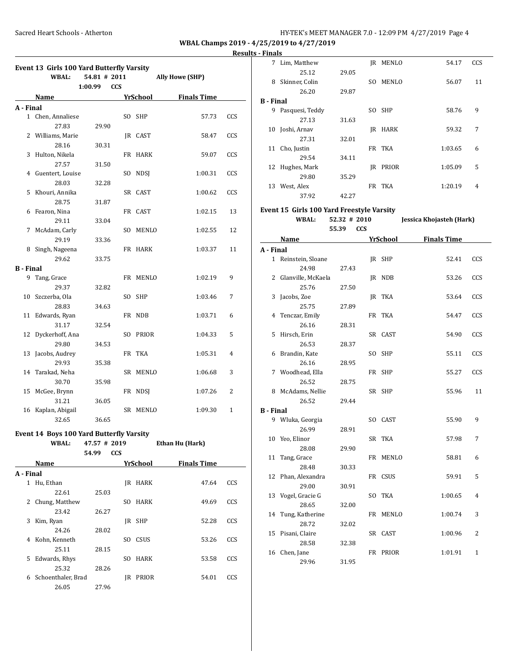# **Results - Finals**

|                  | Event 13 Girls 100 Yard Butterfly Varsity |                |            |             |                             |     |
|------------------|-------------------------------------------|----------------|------------|-------------|-----------------------------|-----|
|                  | <b>WBAL:</b>                              | $54.81$ # 2011 |            |             | <b>Ally Howe (SHP)</b>      |     |
|                  |                                           | 1:00.99        | <b>CCS</b> |             |                             |     |
|                  | Name                                      |                |            | YrSchool    | <b>Finals Time</b>          |     |
| A - Final        |                                           |                |            |             |                             |     |
|                  | 1 Chen, Annaliese                         |                |            | SO SHP      | 57.73                       | CCS |
|                  | 27.83                                     | 29.90          |            |             |                             |     |
|                  | 2 Williams, Marie                         |                |            | JR CAST     | 58.47                       | CCS |
|                  | 28.16                                     | 30.31          |            |             |                             |     |
| 3                | Hulton, Nikela                            |                |            | FR HARK     | 59.07                       | CCS |
|                  | 27.57                                     | 31.50          |            |             |                             |     |
|                  | 4 Guentert, Louise                        |                | SO -       | <b>NDSJ</b> | 1:00.31                     | CCS |
|                  | 28.03                                     | 32.28          |            |             |                             |     |
| 5                | Khouri, Annika                            |                |            | SR CAST     | 1:00.62                     | CCS |
|                  | 28.75                                     | 31.87          |            |             |                             |     |
|                  | 6 Fearon, Nina                            |                |            | FR CAST     | 1:02.15                     | 13  |
|                  | 29.11                                     | 33.04          |            |             |                             |     |
| 7                | McAdam, Carly                             |                | SO.        | MENLO       | 1:02.55                     | 12  |
|                  | 29.19                                     | 33.36          |            |             |                             |     |
| 8                | Singh, Nageena                            |                |            | FR HARK     | 1:03.37                     | 11  |
|                  | 29.62                                     | 33.75          |            |             |                             |     |
| <b>B</b> - Final |                                           |                |            |             |                             |     |
|                  | 9 Tang, Grace                             |                |            | FR MENLO    | 1:02.19                     | 9   |
|                  | 29.37                                     | 32.82          |            |             |                             |     |
|                  | 10 Szczerba, Ola                          |                | SO.        | <b>SHP</b>  | 1:03.46                     | 7   |
|                  | 28.83                                     | 34.63          |            |             |                             |     |
|                  | 11 Edwards, Ryan                          |                |            | FR NDB      | 1:03.71                     | 6   |
|                  | 31.17                                     | 32.54          |            |             |                             |     |
| 12               | Dyckerhoff, Ana                           |                |            | SO PRIOR    | 1:04.33                     | 5   |
|                  | 29.80                                     | 34.53          |            |             |                             |     |
| 13               | Jacobs, Audrey                            |                |            | FR TKA      | 1:05.31                     | 4   |
|                  | 29.93                                     | 35.38          |            |             |                             |     |
|                  | 14 Tarakad, Neha                          |                |            | SR MENLO    | 1:06.68                     | 3   |
|                  | 30.70                                     | 35.98          |            |             |                             |     |
| 15               | McGee, Brynn                              |                | FR         | NDSI        | 1:07.26                     | 2   |
|                  | 31.21                                     | 36.05          |            |             |                             |     |
| 16               | Kaplan, Abigail                           |                |            | SR MENLO    | 1:09.30                     | 1   |
|                  | 32.65                                     | 36.65          |            |             |                             |     |
|                  |                                           |                |            |             |                             |     |
|                  | Event 14 Boys 100 Yard Butterfly Varsity  |                |            |             |                             |     |
|                  | WBAL:                                     | $47.57$ # 2019 |            |             | Ethan Hu (Hark)             |     |
|                  |                                           | 54.99          | <b>CCS</b> |             |                             |     |
|                  | Name                                      |                |            |             | <b>YrSchool</b> Finals Time |     |
| A - Final        |                                           |                |            |             |                             |     |
|                  | 1 Hu, Ethan                               |                |            | JR HARK     | 47.64                       | CCS |
|                  | 22.61                                     | 25.03          |            |             |                             |     |
| 2                | Chung, Matthew                            |                | SO         | HARK        | 49.69                       | CCS |
|                  | 23.42                                     | 26.27          |            |             |                             |     |
| 3                | Kim, Ryan                                 |                |            | JR SHP      | 52.28                       | CCS |
|                  | 24.26                                     | 28.02          |            |             |                             |     |
| 4                | Kohn, Kenneth                             |                |            | SO CSUS     | 53.26                       | CCS |
|                  | 25.11                                     | 28.15          |            |             |                             |     |
|                  | 5 Edwards, Rhys                           |                | SO.        | HARK        | 53.58                       | CCS |
|                  | 25.32                                     | 28.26          |            |             |                             |     |
|                  | 6 Schoenthaler, Brad                      |                |            | JR PRIOR    | 54.01                       | CCS |
|                  | 26.05                                     | 27.96          |            |             |                             |     |

| - rinais         |                                                   |       |     |              |         |     |  |  |  |
|------------------|---------------------------------------------------|-------|-----|--------------|---------|-----|--|--|--|
| 7                | Lim, Matthew                                      |       |     | JR MENLO     | 54.17   | CCS |  |  |  |
|                  | 25.12                                             | 29.05 |     |              |         |     |  |  |  |
| 8                | Skinner, Colin                                    |       | SO. | <b>MENLO</b> | 56.07   | 11  |  |  |  |
|                  | 26.20                                             | 29.87 |     |              |         |     |  |  |  |
| <b>B</b> - Final |                                                   |       |     |              |         |     |  |  |  |
| 9                | Pasquesi, Teddy                                   |       | SO. | <b>SHP</b>   | 58.76   | 9   |  |  |  |
|                  | 27.13                                             | 31.63 |     |              |         |     |  |  |  |
| 10               | Joshi, Arnav                                      |       |     | JR HARK      | 59.32   | 7   |  |  |  |
|                  | 27.31                                             | 32.01 |     |              |         |     |  |  |  |
| 11               | Cho, Justin                                       |       |     | FR TKA       | 1:03.65 | 6   |  |  |  |
|                  | 29.54                                             | 34.11 |     |              |         |     |  |  |  |
| 12               | Hughes, Mark                                      |       | IR  | PRIOR        | 1:05.09 | 5   |  |  |  |
|                  | 29.80                                             | 35.29 |     |              |         |     |  |  |  |
| 13               | West, Alex                                        |       |     | FR TKA       | 1:20.19 | 4   |  |  |  |
|                  | 37.92                                             | 42.27 |     |              |         |     |  |  |  |
|                  | Event 15 Girls 100 Yard Freestyle Varsity         |       |     |              |         |     |  |  |  |
|                  | Jessica Khojasteh (Hark)<br>WBAL:<br>52.32 # 2010 |       |     |              |         |     |  |  |  |

**55.39 CCS**

|                  | Name                 |       | YrSchool | <b>Finals Time</b> |                |
|------------------|----------------------|-------|----------|--------------------|----------------|
| A - Final        |                      |       |          |                    |                |
|                  | 1 Reinstein, Sloane  |       | JR SHP   | 52.41              | CCS            |
|                  | 24.98                | 27.43 |          |                    |                |
|                  | 2 Glanville, McKaela |       | JR NDB   | 53.26              | CCS            |
|                  | 25.76                | 27.50 |          |                    |                |
|                  | 3 Jacobs, Zoe        |       | JR TKA   | 53.64              | CCS            |
|                  | 25.75                | 27.89 |          |                    |                |
|                  | 4 Tenczar, Emily     |       | FR TKA   | 54.47              | CCS            |
|                  | 26.16                | 28.31 |          |                    |                |
|                  | 5 Hirsch, Erin       |       | SR CAST  | 54.90              | CCS            |
|                  | 26.53                | 28.37 |          |                    |                |
|                  | 6 Brandin, Kate      |       | SO SHP   | 55.11              | CCS            |
|                  | 26.16                | 28.95 |          |                    |                |
|                  | 7 Woodhead, Ella     |       | FR SHP   | 55.27              | CCS            |
|                  | 26.52                | 28.75 |          |                    |                |
|                  | 8 McAdams, Nellie    |       | SR SHP   | 55.96              | 11             |
|                  | 26.52                | 29.44 |          |                    |                |
| <b>B</b> - Final |                      |       |          |                    |                |
|                  | 9 Wluka, Georgia     |       | SO CAST  | 55.90              | 9              |
|                  | 26.99                | 28.91 |          |                    |                |
|                  | 10 Yeo, Elinor       |       | SR TKA   | 57.98              | 7              |
|                  | 28.08                | 29.90 |          |                    |                |
| 11               | Tang, Grace          |       | FR MENLO | 58.81              | 6              |
|                  | 28.48                | 30.33 |          |                    |                |
|                  | 12 Phan, Alexandra   |       | FR CSUS  | 59.91              | 5              |
|                  | 29.00                | 30.91 |          |                    |                |
|                  | 13 Vogel, Gracie G   |       | SO TKA   | 1:00.65            | 4              |
|                  | 28.65                | 32.00 |          |                    |                |
| 14               | Tung, Katherine      |       | FR MENLO | 1:00.74            | 3              |
|                  | 28.72                | 32.02 |          |                    |                |
|                  | 15 Pisani, Claire    |       | SR CAST  | 1:00.96            | $\overline{2}$ |
|                  | 28.58                | 32.38 |          |                    |                |
| 16               | Chen, Jane           |       | FR PRIOR | 1:01.91            | $\mathbf{1}$   |
|                  | 29.96                | 31.95 |          |                    |                |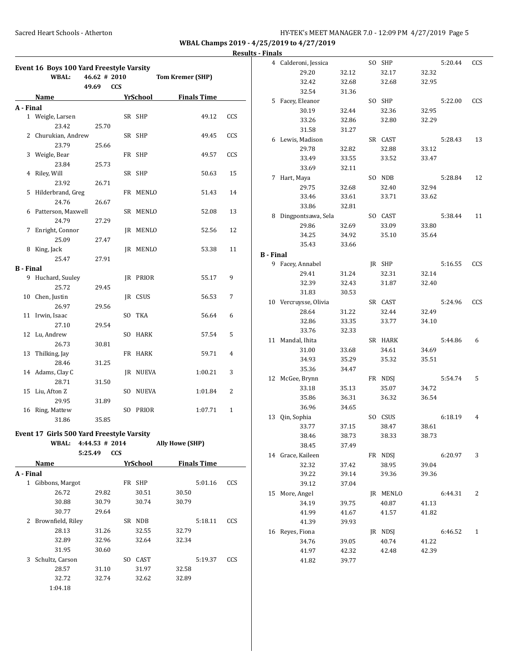| <b>Results - Finals</b> |
|-------------------------|
|                         |

|                  | Event 16 Boys 100 Yard Freestyle Varsity  |              |                 |                    |            |                  | 4 Calderoni, Jessica  |       | SO SHP   |                | 5:20.44 | CCS            |
|------------------|-------------------------------------------|--------------|-----------------|--------------------|------------|------------------|-----------------------|-------|----------|----------------|---------|----------------|
|                  | <b>WBAL:</b>                              | 46.62 # 2010 |                 | Tom Kremer (SHP)   |            |                  | 29.20                 | 32.12 | 32.17    | 32.32          |         |                |
|                  |                                           | 49.69 CCS    |                 |                    |            |                  | 32.42                 | 32.68 | 32.68    | 32.95          |         |                |
|                  |                                           |              |                 |                    |            |                  | 32.54                 | 31.36 |          |                |         |                |
|                  | Name                                      |              | YrSchool        | <b>Finals Time</b> |            |                  | 5 Facey, Eleanor      |       | SO SHP   |                | 5:22.00 | CCS            |
| A - Final        |                                           |              |                 |                    |            |                  | 30.19                 | 32.44 | 32.36    | 32.95          |         |                |
|                  | 1 Weigle, Larsen                          |              | SR SHP          | 49.12              | CCS        |                  | 33.26                 | 32.86 | 32.80    | 32.29          |         |                |
|                  | 23.42                                     | 25.70        |                 |                    |            |                  | 31.58                 | 31.27 |          |                |         |                |
|                  | 2 Churukian, Andrew                       |              | SR SHP          | 49.45              | CCS        |                  | 6 Lewis, Madison      |       | SR CAST  |                | 5:28.43 | 13             |
|                  | 23.79                                     | 25.66        |                 |                    |            |                  | 29.78                 | 32.82 | 32.88    | 33.12          |         |                |
|                  | 3 Weigle, Bear                            |              | FR SHP          | 49.57              | CCS        |                  | 33.49                 | 33.55 | 33.52    | 33.47          |         |                |
|                  | 23.84                                     | 25.73        |                 |                    |            |                  | 33.69                 | 32.11 |          |                |         |                |
|                  | 4 Riley, Will                             |              | SR SHP          | 50.63              | 15         |                  | 7 Hart, Maya          |       | SO NDB   |                | 5:28.84 | 12             |
|                  | 23.92                                     | 26.71        |                 |                    |            |                  | 29.75                 | 32.68 | 32.40    | 32.94          |         |                |
|                  | 5 Hilderbrand, Greg                       |              | FR MENLO        | 51.43              | 14         |                  | 33.46                 | 33.61 | 33.71    | 33.62          |         |                |
|                  | 24.76                                     | 26.67        |                 |                    |            |                  | 33.86                 | 32.81 |          |                |         |                |
|                  | 6 Patterson, Maxwell                      |              | SR MENLO        | 52.08              | 13         |                  | 8 Dingpontsawa, Sela  |       | SO CAST  |                | 5:38.44 | 11             |
|                  | 24.79                                     | 27.29        |                 |                    |            |                  | 29.86                 | 32.69 | 33.09    | 33.80          |         |                |
|                  | 7 Enright, Connor                         |              | JR MENLO        | 52.56              | 12         |                  | 34.25                 | 34.92 | 35.10    | 35.64          |         |                |
|                  | 25.09                                     | 27.47        |                 |                    |            |                  | 35.43                 | 33.66 |          |                |         |                |
|                  | 8 King, Jack                              |              | JR MENLO        | 53.38              | 11         |                  |                       |       |          |                |         |                |
|                  | 25.47                                     | 27.91        |                 |                    |            | <b>B</b> - Final |                       |       |          |                |         |                |
| <b>B</b> - Final |                                           |              |                 |                    |            |                  | 9 Facey, Annabel      |       | JR SHP   |                | 5:16.55 | CCS            |
|                  | 9 Huchard, Suuley                         |              | JR PRIOR        | 55.17              | 9          |                  | 29.41                 | 31.24 | 32.31    | 32.14          |         |                |
|                  | 25.72                                     | 29.45        |                 |                    |            |                  | 32.39                 | 32.43 | 31.87    | 32.40          |         |                |
|                  | 10 Chen, Justin                           |              | JR CSUS         | 56.53              | 7          |                  | 31.83                 | 30.53 |          |                |         |                |
|                  | 26.97                                     | 29.56        |                 |                    |            |                  | 10 Vercruysse, Olivia |       | SR CAST  |                | 5:24.96 | CCS            |
|                  | 11 Irwin, Isaac                           |              | SO TKA          | 56.64              | 6          |                  | 28.64                 | 31.22 | 32.44    | 32.49          |         |                |
|                  | 27.10                                     | 29.54        |                 |                    |            |                  | 32.86                 | 33.35 | 33.77    | 34.10          |         |                |
|                  | 12 Lu, Andrew                             |              | SO HARK         | 57.54              | 5          |                  | 33.76                 | 32.33 |          |                |         |                |
|                  | 26.73                                     | 30.81        |                 |                    |            |                  | 11 Mandal, Ihita      |       | SR HARK  |                | 5:44.86 | 6              |
|                  | 13 Thilking, Jay                          |              | FR HARK         | 59.71              | 4          |                  | 31.00                 | 33.68 | 34.61    | 34.69          |         |                |
|                  | 28.46                                     | 31.25        |                 |                    |            |                  | 34.93                 | 35.29 | 35.32    | 35.51          |         |                |
|                  | 14 Adams, Clay C                          |              | JR NUEVA        | 1:00.21            | 3          |                  | 35.36                 | 34.47 |          |                |         |                |
|                  | 28.71                                     | 31.50        |                 |                    |            |                  | 12 McGee, Brynn       |       | FR NDSJ  |                | 5:54.74 | - 5            |
|                  | 15 Liu, Afton Z                           |              | SO NUEVA        | 1:01.84            | 2          |                  | 33.18                 | 35.13 | 35.07    | 34.72          |         |                |
|                  | 29.95                                     | 31.89        |                 |                    |            |                  | 35.86                 | 36.31 | 36.32    | 36.54          |         |                |
|                  | 16 Ring, Mattew                           |              | SO PRIOR        | 1:07.71            | 1          |                  | 36.96                 | 34.65 |          |                |         |                |
|                  | 31.86                                     | 35.85        |                 |                    |            |                  | 13 Qin, Sophia        |       | SO CSUS  |                | 6:18.19 | 4              |
|                  |                                           |              |                 |                    |            |                  | 33.77                 | 37.15 | 38.47    | 38.61          |         |                |
|                  | Event 17 Girls 500 Yard Freestyle Varsity |              |                 |                    |            |                  | 38.46                 | 38.73 | 38.33    | 38.73          |         |                |
|                  | WBAL: 4:44.53 # 2014                      |              |                 | Ally Howe (SHP)    |            |                  | 38.45                 | 37.49 |          |                |         |                |
|                  |                                           | 5:25.49 CCS  |                 |                    |            |                  | 14 Grace, Kaileen     |       | FR NDSJ  |                | 6:20.97 | 3              |
|                  | Name                                      |              | <b>YrSchool</b> | <b>Finals Time</b> |            |                  | 32.32                 | 37.42 | 38.95    | 39.04          |         |                |
| A - Final        |                                           |              |                 |                    |            |                  | 39.22                 | 39.14 | 39.36    | 39.36          |         |                |
|                  | 1 Gibbons, Margot                         |              | FR SHP          | 5:01.16            | CCS        |                  | 39.12                 | 37.04 |          |                |         |                |
|                  | 26.72                                     | 29.82        | 30.51           | 30.50              |            |                  | 15 More, Angel        |       | JR MENLO |                | 6:44.31 | 2              |
|                  | 30.88                                     | 30.79        | 30.74           | 30.79              |            |                  | 34.19                 | 39.75 | 40.87    | 41.13          |         |                |
|                  | 30.77                                     | 29.64        |                 |                    |            |                  | 41.99                 | 41.67 | 41.57    | 41.82          |         |                |
|                  | 2 Brownfield, Riley                       |              | SR NDB          | 5:18.11            | <b>CCS</b> |                  | 41.39                 | 39.93 |          |                |         |                |
|                  | 28.13                                     | 31.26        | 32.55           | 32.79              |            |                  | 16 Reyes, Fiona       |       | JR NDSJ  |                | 6:46.52 | $\overline{1}$ |
|                  | 32.89                                     | 32.96        | 32.64           | 32.34              |            |                  |                       |       |          |                |         |                |
|                  | 31.95                                     | 30.60        |                 |                    |            |                  | 34.76                 | 39.05 | 40.74    | 41.22<br>42.39 |         |                |
|                  | 3 Schultz, Carson                         |              | SO CAST         | 5:19.37            | CCS        |                  | 41.97                 | 42.32 | 42.48    |                |         |                |
|                  |                                           |              |                 |                    |            |                  | 41.82                 | 39.77 |          |                |         |                |
|                  | 28.57                                     | 31.10        | 31.97           | 32.58              |            |                  |                       |       |          |                |         |                |
|                  | 32.72                                     | 32.74        | 32.62           | 32.89              |            |                  |                       |       |          |                |         |                |
|                  | 1:04.18                                   |              |                 |                    |            |                  |                       |       |          |                |         |                |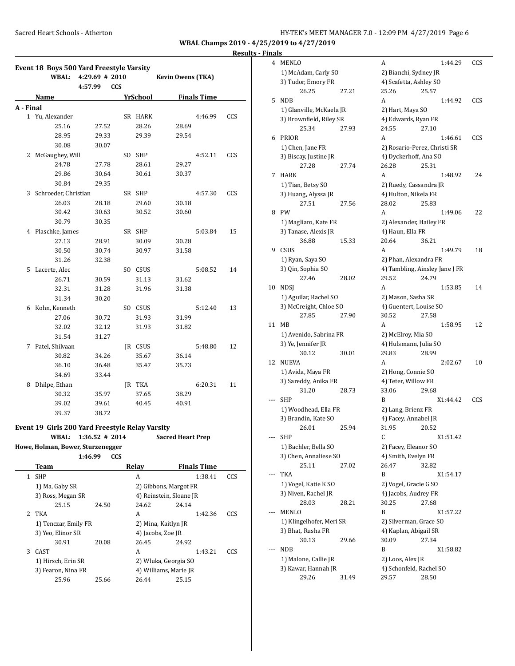**WBAL Champs 2019 - 4/25/2019** 

**Results - Finals**

|              | Event 18 Boys 500 Yard Freestyle Varsity<br><b>WBAL:</b> | 4:29.69 # 2010    |            |               |                          |                    |     |
|--------------|----------------------------------------------------------|-------------------|------------|---------------|--------------------------|--------------------|-----|
|              |                                                          | 4:57.99           | <b>CCS</b> |               | <b>Kevin Owens (TKA)</b> |                    |     |
|              |                                                          |                   |            |               |                          |                    |     |
|              | Name                                                     |                   |            | YrSchool      |                          | <b>Finals Time</b> |     |
| A - Final    | 1 Yu, Alexander                                          |                   |            | SR HARK       |                          | 4:46.99            | CCS |
|              | 25.16                                                    |                   |            | 28.26         |                          |                    |     |
|              | 28.95                                                    | 27.52<br>29.33    |            | 29.39         | 28.69<br>29.54           |                    |     |
|              |                                                          |                   |            |               |                          |                    |     |
|              | 30.08                                                    | 30.07             |            |               |                          |                    |     |
| 2            | McGaughey, Will                                          |                   |            | SO SHP        |                          | 4:52.11            | CCS |
|              | 24.78                                                    | 27.78             |            | 28.61         | 29.27                    |                    |     |
|              | 29.86                                                    | 30.64             |            | 30.61         | 30.37                    |                    |     |
|              | 30.84                                                    | 29.35             |            |               |                          |                    |     |
|              | 3 Schroeder, Christian                                   |                   |            | SR SHP        |                          | 4:57.30            | CCS |
|              | 26.03                                                    | 28.18             |            | 29.60         | 30.18                    |                    |     |
|              | 30.42                                                    | 30.63             |            | 30.52         | 30.60                    |                    |     |
|              | 30.79                                                    | 30.35             |            |               |                          |                    |     |
|              | 4 Plaschke, James                                        |                   |            | SR SHP        |                          | 5:03.84            | 15  |
|              | 27.13                                                    | 28.91             |            | 30.09         | 30.28                    |                    |     |
|              | 30.50                                                    | 30.74             |            | 30.97         | 31.58                    |                    |     |
|              | 31.26                                                    | 32.38             |            |               |                          |                    |     |
| 5.           | Lacerte, Alec                                            |                   |            | SO CSUS       |                          | 5:08.52            | 14  |
|              | 26.71                                                    | 30.59             |            | 31.13         | 31.62                    |                    |     |
|              | 32.31                                                    | 31.28             |            | 31.96         | 31.38                    |                    |     |
|              | 31.34                                                    | 30.20             |            |               |                          |                    |     |
|              | 6 Kohn, Kenneth                                          |                   |            | SO CSUS       |                          | 5:12.40            | 13  |
|              | 27.06                                                    | 30.72             |            | 31.93         | 31.99                    |                    |     |
|              | 32.02                                                    | 32.12             |            | 31.93         | 31.82                    |                    |     |
|              | 31.54                                                    | 31.27             |            |               |                          |                    |     |
|              | 7 Patel, Shilvaan                                        |                   |            | JR CSUS       |                          | 5:48.80            | 12  |
|              | 30.82                                                    | 34.26             |            | 35.67         | 36.14                    |                    |     |
|              | 36.10                                                    | 36.48             |            | 35.47         | 35.73                    |                    |     |
|              | 34.69                                                    | 33.44             |            |               |                          |                    |     |
|              | 8 Dhilpe, Ethan                                          |                   |            | <b>IR TKA</b> |                          | 6:20.31            | 11  |
|              | 30.32                                                    |                   |            | 37.65         |                          |                    |     |
|              |                                                          | 35.97             |            |               | 38.29                    |                    |     |
|              | 39.02                                                    | 39.61             |            | 40.45         | 40.91                    |                    |     |
|              | 39.37                                                    | 38.72             |            |               |                          |                    |     |
|              | Event 19 Girls 200 Yard Freestyle Relay Varsity          |                   |            |               |                          |                    |     |
|              | <b>WBAL:</b>                                             | $1:36.52 \# 2014$ |            |               | Sacred Heart Prep        |                    |     |
|              | Howe, Holman, Bower, Sturzenegger                        |                   |            |               |                          |                    |     |
|              |                                                          | 1:46.99           | <b>CCS</b> |               |                          |                    |     |
|              | Team                                                     |                   |            | Relay         |                          | <b>Finals Time</b> |     |
| $\mathbf{1}$ | <b>SHP</b>                                               |                   |            | А             |                          | 1:38.41            | CCS |
|              | 1) Ma, Gaby SR                                           |                   |            |               | 2) Gibbons, Margot FR    |                    |     |
|              | 3) Ross, Megan SR                                        |                   |            |               | 4) Reinstein, Sloane JR  |                    |     |
|              | 25.15                                                    | 24.50             |            | 24.62         | 24.14                    |                    |     |
| 2            | TKA                                                      |                   |            | A             |                          | 1:42.36            | CCS |
|              | 1) Tenczar, Emily FR                                     |                   |            |               | 2) Mina, Kaitlyn JR      |                    |     |
|              | 3) Yeo, Elinor SR                                        |                   |            |               | 4) Jacobs, Zoe JR        |                    |     |
|              |                                                          |                   |            |               |                          |                    |     |
|              | 30.91                                                    | 20.08             |            | 26.45         | 24.92                    |                    |     |

1) Hirsch, Erin SR 2) Wluka, Georgia SO 3) Fearon, Nina FR 4) Williams, Marie JR 25.96 25.66 26.44 25.15

|       | /2019 to 4/27/2019       |       |                       |                                |     |  |  |
|-------|--------------------------|-------|-----------------------|--------------------------------|-----|--|--|
| inals |                          |       |                       |                                |     |  |  |
| 4     | <b>MENLO</b>             |       | A                     | 1:44.29                        | CCS |  |  |
|       | 1) McAdam, Carly SO      |       |                       | 2) Bianchi, Sydney JR          |     |  |  |
|       | 3) Tudor, Emory FR       |       |                       | 4) Scafetta, Ashley SO         |     |  |  |
|       | 26.25                    | 27.21 | 25.26                 | 25.57                          |     |  |  |
| 5     | <b>NDB</b>               |       | A                     | 1:44.92                        | CCS |  |  |
|       | 1) Glanville, McKaela JR |       | 2) Hart, Maya SO      |                                |     |  |  |
|       | 3) Brownfield, Riley SR  |       |                       | 4) Edwards, Ryan FR            |     |  |  |
|       | 25.34                    | 27.93 | 24.55                 | 27.10                          |     |  |  |
| 6     | PRIOR                    |       | A                     | 1:46.61                        | CCS |  |  |
|       | 1) Chen, Jane FR         |       |                       | 2) Rosario-Perez, Christi SR   |     |  |  |
|       | 3) Biscay, Justine JR    |       |                       | 4) Dyckerhoff, Ana SO          |     |  |  |
|       | 27.28                    | 27.74 | 26.28                 | 25.31                          |     |  |  |
| 7     | HARK                     |       | A                     | 1:48.92                        | 24  |  |  |
|       | 1) Tian, Betsy SO        |       |                       | 2) Ruedy, Cassandra JR         |     |  |  |
|       | 3) Huang, Alyssa JR      |       | 4) Hulton, Nikela FR  |                                |     |  |  |
|       | 27.51                    | 27.56 | 28.02                 | 25.83                          |     |  |  |
| 8     | <b>PW</b>                |       | A                     | 1:49.06                        | 22  |  |  |
|       | 1) Magliaro, Kate FR     |       |                       | 2) Alexander, Hailey FR        |     |  |  |
|       | 3) Tanase, Alexis JR     |       | 4) Haun, Ella FR      |                                |     |  |  |
|       | 36.88                    | 15.33 | 20.64                 | 36.21                          |     |  |  |
| 9     | CSUS                     |       | A                     | 1:49.79                        | 18  |  |  |
|       | 1) Ryan, Saya SO         |       | 2) Phan, Alexandra FR |                                |     |  |  |
|       | 3) Qin, Sophia SO        |       |                       | 4) Tambling, Ainsley Jane J FR |     |  |  |
|       | 27.46                    | 28.02 | 29.52                 | 24.79                          |     |  |  |
| 10    | NDSJ                     |       | A                     | 1:53.85                        | 14  |  |  |
|       | 1) Aguilar, Rachel SO    |       | 2) Mason, Sasha SR    |                                |     |  |  |
|       | 3) McCreight, Chloe SO   |       |                       | 4) Guentert, Louise SO         |     |  |  |
|       | 27.85                    | 27.90 | 30.52                 | 27.58                          |     |  |  |
| 11    | MB                       |       | A                     | 1:58.95                        | 12  |  |  |
|       | 1) Avenido, Sabrina FR   |       | 2) McElroy, Mia SO    |                                |     |  |  |
|       | 3) Ye, Jennifer JR       |       |                       | 4) Hulsmann, Julia SO          |     |  |  |
|       | 30.12                    | 30.01 | 29.83                 | 28.99                          |     |  |  |
| 12    | <b>NUEVA</b>             |       | A                     | 2:02.67                        | 10  |  |  |
|       | 1) Avida, Maya FR        |       | 2) Hong, Connie SO    |                                |     |  |  |
|       | 3) Sareddy, Anika FR     |       | 4) Teter, Willow FR   |                                |     |  |  |
|       | 31.20                    | 28.73 | 33.06                 | 29.68                          |     |  |  |
|       | SHP                      |       | B                     | X1:44.42                       | CCS |  |  |
|       | 1) Woodhead, Ella FR     |       | 2) Lang, Brienz FR    |                                |     |  |  |
|       | 3) Brandin, Kate SO      |       | 4) Facey, Annabel JR  |                                |     |  |  |
|       | 26.01                    | 25.94 | 31.95                 | 20.52                          |     |  |  |
|       | SHP                      |       | C                     | X1:51.42                       |     |  |  |
|       | 1) Bachler, Bella SO     |       | 2) Facey, Eleanor SO  |                                |     |  |  |
|       | 3) Chen, Annaliese SO    |       | 4) Smith, Evelyn FR   |                                |     |  |  |
|       | 25.11                    | 27.02 | 26.47                 | 32.82                          |     |  |  |
|       | TKA                      |       | B                     | X1:54.17                       |     |  |  |
|       | 1) Vogel, Katie K SO     |       |                       | 2) Vogel, Gracie G SO          |     |  |  |
|       | 3) Niven, Rachel JR      |       |                       | 4) Jacobs, Audrey FR           |     |  |  |
|       | 28.03                    | 28.21 | 30.25                 | 27.68                          |     |  |  |
|       | <b>MENLO</b>             |       | B                     | X1:57.22                       |     |  |  |
|       | 1) Klingelhofer, Meri SR |       |                       | 2) Silverman, Grace SO         |     |  |  |
|       | 3) Bhat, Rusha FR        |       |                       | 4) Kaplan, Abigail SR          |     |  |  |
|       | 30.13                    | 29.66 | 30.09                 | 27.34                          |     |  |  |
|       | <b>NDB</b>               |       | B                     | X1:58.82                       |     |  |  |
|       | 1) Malone, Callie JR     |       | 2) Loos, Alex JR      |                                |     |  |  |
|       | 3) Kawar, Hannah JR      |       |                       | 4) Schonfeld, Rachel SO        |     |  |  |
|       | 29.26                    | 31.49 | 29.57                 | 28.50                          |     |  |  |
|       |                          |       |                       |                                |     |  |  |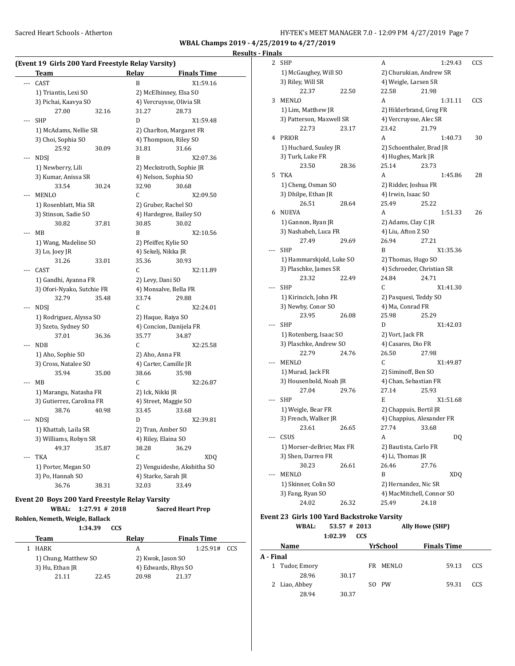#### **Results - Finals**

|            | (Event 19 Girls 200 Yard Freestyle Relay Varsity)<br>Team |       | Relay               | <b>Finals Time</b>          |
|------------|-----------------------------------------------------------|-------|---------------------|-----------------------------|
|            | CAST                                                      |       | B                   | X1:59.16                    |
|            | 1) Triantis, Lexi SO                                      |       |                     | 2) McElhinney, Elsa SO      |
|            | 3) Pichai, Kaavya SO                                      |       |                     | 4) Vercruysse, Olivia SR    |
|            | 27.00                                                     | 32.16 | 31.27               | 28.73                       |
| SHP        |                                                           |       | D                   | X1:59.48                    |
|            | 1) McAdams, Nellie SR                                     |       |                     | 2) Charlton, Margaret FR    |
|            | 3) Choi, Sophia SO                                        |       |                     | 4) Thompson, Riley SO       |
|            | 25.92                                                     | 30.09 | 31.81               | 31.66                       |
| NDSJ       |                                                           |       | B                   | X2:07.36                    |
|            | 1) Newberry, Lili                                         |       |                     | 2) Meckstroth, Sophie JR    |
|            | 3) Kumar, Anissa SR                                       |       |                     | 4) Nelson, Sophia SO        |
|            | 33.54                                                     | 30.24 | 32.90               | 30.68                       |
|            | MENLO                                                     |       | C                   | X2:09.50                    |
|            | 1) Rosenblatt, Mia SR                                     |       |                     | 2) Gruber, Rachel SO        |
|            | 3) Stinson, Sadie SO                                      |       |                     | 4) Hardegree, Bailey SO     |
|            | 30.82                                                     | 37.81 | 30.85               | 30.02                       |
| MВ         |                                                           |       | B                   | X2:10.56                    |
|            | 1) Wang, Madeline SO                                      |       |                     | 2) Pfeiffer, Kylie SO       |
|            | 3) Lo, Joey JR                                            |       | 4) Sekelj, Nikka JR |                             |
|            | 31.26                                                     | 33.01 | 35.36               | 30.93                       |
|            | CAST                                                      |       | C                   | X2:11.89                    |
|            | 1) Gandhi, Ayanna FR                                      |       | 2) Levy, Dani SO    |                             |
|            | 3) Ofori-Nyako, Sutchie FR                                |       |                     | 4) Monsalve, Bella FR       |
|            | 32.79                                                     | 35.48 | 33.74               | 29.88                       |
|            | NDSJ                                                      |       | C                   | X2:24.01                    |
|            | 1) Rodriguez, Alyssa SO                                   |       | 2) Haque, Raiya SO  |                             |
|            | 3) Szeto, Sydney SO                                       |       |                     | 4) Concion, Danijela FR     |
|            | 37.01                                                     | 36.36 | 35.77               | 34.87                       |
| NDB        |                                                           |       | C                   | X2:25.58                    |
|            | 1) Aho, Sophie SO                                         |       | 2) Aho, Anna FR     |                             |
|            | 3) Cross, Natalee SO                                      |       |                     | 4) Carter, Camille JR       |
|            | 35.94                                                     | 35.00 | 38.66               | 35.98                       |
| MВ         |                                                           |       | C                   | X2:26.87                    |
|            | 1) Marangu, Natasha FR                                    |       | 2) Ick, Nikki JR    |                             |
|            | 3) Gutierrez, Carolina FR                                 |       |                     | 4) Street, Maggie SO        |
|            | 38.76                                                     | 40.98 | 33.45               | 33.68                       |
|            | NDSJ                                                      |       | D                   | X2:39.81                    |
|            | 1) Khattab, Laila SR                                      |       | 2) Tran, Amber SO   |                             |
|            | 3) Williams, Robyn SR                                     |       | 4) Riley, Elaina SO |                             |
|            | 49.37                                                     | 35.87 | 38.28               | 36.29                       |
| <b>TKA</b> |                                                           |       | C                   | XDQ                         |
|            | 1) Porter, Megan SO                                       |       |                     | 2) Venguideshe, Akshitha SO |
|            | 3) Po, Hannah SO                                          |       | 4) Starke, Sarah JR |                             |
|            | 36.76                                                     | 38.31 | 32.03               | 33.49                       |
|            |                                                           |       |                     |                             |

**Event 20 Boys 200 Yard Freestyle Relay Varsity WBAL: 1:27.91 # 2018** 

**Rohlen, Nemeth, Weigle, Ballack**

**1:34.39 CCS**

| Team                 |       | Relav               | <b>Finals Time</b> |  |  |
|----------------------|-------|---------------------|--------------------|--|--|
| <b>HARK</b>          |       | А                   | 1:25.91#<br>CCS.   |  |  |
| 1) Chung, Matthew SO |       | 2) Kwok, Jason SO   |                    |  |  |
| 3) Hu, Ethan JR      |       | 4) Edwards, Rhys SO |                    |  |  |
| 21.11                | 22.45 | 20.98               | 21.37              |  |  |
|                      |       |                     |                    |  |  |

| 2 | <b>SHP</b>                |       | А                                         | 1:29.43                    | CCS |  |  |
|---|---------------------------|-------|-------------------------------------------|----------------------------|-----|--|--|
|   | 1) McGaughey, Will SO     |       | 2) Churukian, Andrew SR                   |                            |     |  |  |
|   | 3) Riley, Will SR         |       | 4) Weigle, Larsen SR                      |                            |     |  |  |
|   | 22.37                     | 22.50 | 22.58                                     | 21.98                      |     |  |  |
| 3 | <b>MENLO</b>              |       | A                                         | 1:31.11                    | CCS |  |  |
|   | 1) Lim, Matthew JR        |       | 2) Hilderbrand, Greg FR                   |                            |     |  |  |
|   | 3) Patterson, Maxwell SR  |       | 4) Vercruysse, Alec SR                    |                            |     |  |  |
|   | 22.73                     | 23.17 | 23.42                                     | 21.79                      |     |  |  |
| 4 | PRIOR                     |       | A                                         | 1:40.73                    | 30  |  |  |
|   | 1) Huchard, Suuley JR     |       | 2) Schoenthaler, Brad JR                  |                            |     |  |  |
|   | 3) Turk, Luke FR          |       | 4) Hughes, Mark JR                        |                            |     |  |  |
|   | 23.50                     | 28.36 | 25.14                                     | 23.73                      |     |  |  |
| 5 | <b>TKA</b>                |       | A                                         | 1:45.86                    | 28  |  |  |
|   | 1) Cheng, Osman SO        |       | 2) Ridder, Joshua FR                      |                            |     |  |  |
|   | 3) Dhilpe, Ethan JR       |       | 4) Irwin, Isaac SO                        |                            |     |  |  |
|   | 26.51                     | 28.64 | 25.49                                     | 25.22                      |     |  |  |
| 6 | <b>NUEVA</b>              |       | A                                         | 1:51.33                    | 26  |  |  |
|   | 1) Gannon, Ryan JR        |       |                                           |                            |     |  |  |
|   | 3) Nashabeh, Luca FR      |       | 2) Adams, Clay C JR<br>4) Liu, Afton Z SO |                            |     |  |  |
|   | 27.49                     | 29.69 | 26.94                                     | 27.21                      |     |  |  |
|   | <b>SHP</b>                |       | B                                         | X1:35.36                   |     |  |  |
|   | 1) Hammarskjold, Luke SO  |       |                                           |                            |     |  |  |
|   |                           |       | 2) Thomas, Hugo SO                        |                            |     |  |  |
|   | 3) Plaschke, James SR     |       |                                           | 4) Schroeder, Christian SR |     |  |  |
|   | 23.32                     | 22.49 | 24.84                                     | 24.71                      |     |  |  |
|   | SHP                       |       | C                                         | X1:41.30                   |     |  |  |
|   | 1) Kirincich, John FR     |       | 2) Pasquesi, Teddy SO                     |                            |     |  |  |
|   | 3) Newby, Conor SO        |       | 4) Ma, Conrad FR                          |                            |     |  |  |
|   | 23.95                     | 26.08 | 25.98                                     | 25.29                      |     |  |  |
|   | SHP                       |       | D                                         | X1:42.03                   |     |  |  |
|   | 1) Rotenberg, Isaac SO    |       | 2) Vort, Jack FR                          |                            |     |  |  |
|   | 3) Plaschke, Andrew SO    |       | 4) Casares, Dio FR                        |                            |     |  |  |
|   | 22.79                     | 24.76 | 26.50                                     | 27.98                      |     |  |  |
|   | <b>MENLO</b>              |       | C                                         | X1:49.87                   |     |  |  |
|   | 1) Murad, Jack FR         |       | 2) Siminoff, Ben SO                       |                            |     |  |  |
|   | 3) Housenbold, Noah JR    |       | 4) Chan, Sebastian FR                     |                            |     |  |  |
|   | 27.04                     | 29.76 | 27.14                                     | 25.93                      |     |  |  |
|   | SHP                       |       | E                                         | X1:51.68                   |     |  |  |
|   | 1) Weigle, Bear FR        |       | 2) Chappuis, Bertil JR                    |                            |     |  |  |
|   | 3) French, Walker JR      |       |                                           | 4) Chappius, Alexander FR  |     |  |  |
|   | 23.61                     | 26.65 | 27.74                                     | 33.68                      |     |  |  |
|   | CSUS                      |       | A                                         | DQ                         |     |  |  |
|   | 1) Morser-deBrier, Max FR |       | 2) Bautista, Carlo FR                     |                            |     |  |  |
|   | 3) Shen, Darren FR        |       | 4) Li, Thomas JR                          |                            |     |  |  |
|   | 30.23                     | 26.61 | 26.46                                     | 27.76                      |     |  |  |
|   | MENLO                     |       | B                                         | XDQ                        |     |  |  |
|   | 1) Skinner, Colin SO      |       | 2) Hernandez, Nic SR                      |                            |     |  |  |
|   | 3) Fang, Ryan SO          |       |                                           | 4) MacMitchell, Connor SO  |     |  |  |
|   | 24.02                     | 26.32 | 25.49                                     | 24.18                      |     |  |  |

#### **Event 23 Girls 100 Yard Backstroke Varsity**

**WBAL: 53.57 # 2013 Ally Howe (SHP) 1:02.39 CCS**

|           | Name           |       | YrSchool | <b>Finals Time</b> |     |
|-----------|----------------|-------|----------|--------------------|-----|
| A - Final |                |       |          |                    |     |
|           | 1 Tudor, Emory |       | FR MENLO | 59.13              | CCS |
|           | 28.96          | 30.17 |          |                    |     |
|           | 2 Liao, Abbey  |       | SO PW    | 59.31              | CCS |
|           | 28.94          | 30.37 |          |                    |     |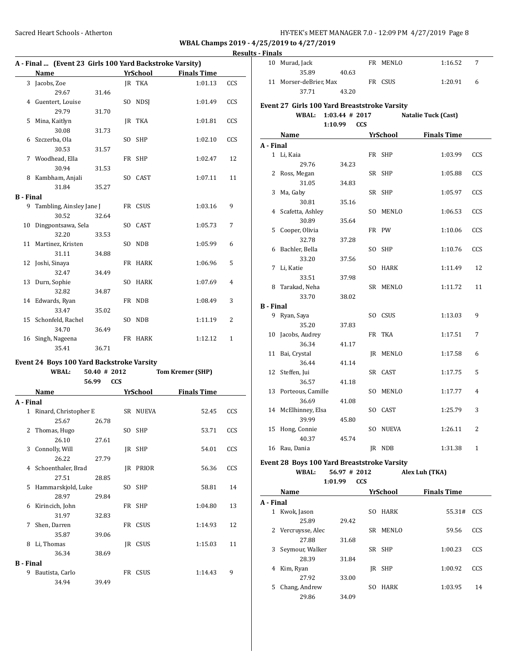**B - Final**

**WBAL Champs 2019 - 4/25/2019 to 4/27/2019**

# **Results - Finals**

**A - Final**

**B - Final**

|                  |                                                           |                |            |                 |                         | 1703 |  |
|------------------|-----------------------------------------------------------|----------------|------------|-----------------|-------------------------|------|--|
|                  | A - Final  (Event 23 Girls 100 Yard Backstroke Varsity)   |                |            |                 |                         |      |  |
|                  | Name                                                      |                |            | <b>YrSchool</b> | <b>Finals Time</b>      |      |  |
|                  | 3 Jacobs, Zoe                                             |                |            | <b>IR TKA</b>   | 1:01.13                 | CCS  |  |
|                  | 29.67                                                     | 31.46          |            |                 |                         |      |  |
|                  | 4 Guentert, Louise                                        |                |            | SO NDSI         | 1:01.49                 | CCS  |  |
|                  | 29.79                                                     | 31.70          |            |                 |                         |      |  |
| 5                | Mina, Kaitlyn                                             |                |            | JR TKA          | 1:01.81                 | CCS  |  |
|                  | 30.08                                                     | 31.73          |            |                 |                         |      |  |
| 6                | Szczerba, Ola                                             |                |            | SO SHP          | 1:02.10                 | CCS  |  |
|                  | 30.53                                                     | 31.57          |            |                 |                         |      |  |
| 7                | Woodhead, Ella                                            |                |            | FR SHP          | 1:02.47                 | 12   |  |
|                  | 30.94                                                     | 31.53          |            |                 |                         |      |  |
| 8                | Kambham, Anjali                                           |                |            | SO CAST         | 1:07.11                 | 11   |  |
|                  | 31.84                                                     | 35.27          |            |                 |                         |      |  |
| <b>B</b> - Final |                                                           |                |            |                 |                         |      |  |
| 9                | Tambling, Ainsley Jane J                                  |                |            | FR CSUS         | 1:03.16                 | 9    |  |
|                  | 30.52                                                     | 32.64          |            |                 |                         |      |  |
| 10               | Dingpontsawa, Sela                                        |                |            | SO CAST         | 1:05.73                 | 7    |  |
|                  | 32.20                                                     | 33.53          |            |                 |                         |      |  |
| 11               | Martinez, Kristen                                         |                | SO.        | NDB             | 1:05.99                 | 6    |  |
|                  | 31.11                                                     | 34.88          |            |                 |                         |      |  |
| 12               | Joshi, Sinaya                                             |                |            | FR HARK         | 1:06.96                 | 5    |  |
|                  | 32.47                                                     | 34.49          |            |                 |                         |      |  |
| 13               | Durn, Sophie                                              |                |            | SO HARK         | 1:07.69                 | 4    |  |
|                  | 32.82                                                     | 34.87          |            |                 |                         |      |  |
|                  | 14 Edwards, Ryan                                          |                |            | FR NDB          | 1:08.49                 | 3    |  |
|                  | 33.47                                                     | 35.02          |            |                 |                         |      |  |
|                  | 15 Schonfeld, Rachel                                      |                |            | SO NDB          | 1:11.19                 | 2    |  |
|                  | 34.70                                                     | 36.49          |            |                 |                         |      |  |
| 16               | Singh, Nageena                                            |                |            | FR HARK         | 1:12.12                 | 1    |  |
|                  | 35.41                                                     | 36.71          |            |                 |                         |      |  |
|                  |                                                           |                |            |                 |                         |      |  |
|                  | Event 24 Boys 100 Yard Backstroke Varsity<br><b>WBAL:</b> | $50.40$ # 2012 |            |                 | <b>Tom Kremer (SHP)</b> |      |  |
|                  |                                                           | 56.99          | <b>CCS</b> |                 |                         |      |  |
|                  | Name                                                      |                |            | <b>YrSchool</b> | <b>Finals Time</b>      |      |  |
|                  |                                                           |                |            |                 |                         |      |  |
| A - Final        | 1 Rinard, Christopher E                                   |                |            | SR NUEVA        | 52.45                   | CCS  |  |
|                  | 25.67                                                     | 26.78          |            |                 |                         |      |  |
|                  |                                                           |                |            | SO SHP          | 53.71                   | CCS  |  |
|                  | 2 Thomas, Hugo<br>26.10                                   |                |            |                 |                         |      |  |
| 3                | Connolly, Will                                            | 27.61          | JR         | SHP             | 54.01                   | CCS  |  |
|                  | 26.22                                                     | 27.79          |            |                 |                         |      |  |
| 4                | Schoenthaler, Brad                                        |                | JR         | PRIOR           | 56.36                   | CCS  |  |
|                  | 27.51                                                     | 28.85          |            |                 |                         |      |  |
| 5                | Hammarskjold, Luke                                        |                | SO         | SHP             | 58.81                   | 14   |  |
|                  | 28.97                                                     | 29.84          |            |                 |                         |      |  |
| 6                | Kirincich, John                                           |                | FR         | <b>SHP</b>      | 1:04.80                 | 13   |  |
|                  | 31.97                                                     | 32.83          |            |                 |                         |      |  |
| 7                | Shen, Darren                                              |                | FR         | CSUS            | 1:14.93                 | 12   |  |
|                  | 35.87                                                     | 39.06          |            |                 |                         |      |  |
| 8                | Li, Thomas                                                |                | JR         | CSUS            | 1:15.03                 | 11   |  |
|                  | 36.34                                                     | 38.69          |            |                 |                         |      |  |
|                  |                                                           |                |            |                 |                         |      |  |

9 Bautista, Carlo **FR CSUS** 1:14.43 9

34.94 39.49

| A - Final                                    |                                                                                                                                                                                                                                    |                       |  |          |                                                                                                                                                                                                                                     |            |  |  |
|----------------------------------------------|------------------------------------------------------------------------------------------------------------------------------------------------------------------------------------------------------------------------------------|-----------------------|--|----------|-------------------------------------------------------------------------------------------------------------------------------------------------------------------------------------------------------------------------------------|------------|--|--|
|                                              | Name <b>School Primary Primary Primary Primary Primary Primary Primary Primary Primary Primary Primary Primary Primary Primary Primary Primary Primary Primary Primary Primary Primary Primary Primary Primary Primary Primary</b> |                       |  |          |                                                                                                                                                                                                                                     |            |  |  |
|                                              |                                                                                                                                                                                                                                    | 1:01.99<br><b>CCS</b> |  |          |                                                                                                                                                                                                                                     |            |  |  |
|                                              | <b>WBAL:</b>                                                                                                                                                                                                                       | 56.97 # 2012          |  |          | Alex Luh (TKA)                                                                                                                                                                                                                      |            |  |  |
|                                              | Event 28 Boys 100 Yard Breaststroke Varsity                                                                                                                                                                                        |                       |  |          |                                                                                                                                                                                                                                     |            |  |  |
|                                              |                                                                                                                                                                                                                                    |                       |  |          |                                                                                                                                                                                                                                     |            |  |  |
|                                              | 16 Rau, Dania                                                                                                                                                                                                                      |                       |  | JR NDB   | 1:31.38                                                                                                                                                                                                                             | 1          |  |  |
|                                              | 40.37                                                                                                                                                                                                                              | 45.74                 |  |          |                                                                                                                                                                                                                                     |            |  |  |
|                                              | 39.99<br>15 Hong, Connie                                                                                                                                                                                                           | 45.80                 |  | SO NUEVA | 1:26.11                                                                                                                                                                                                                             | 2          |  |  |
|                                              | 14 McElhinney, Elsa                                                                                                                                                                                                                |                       |  | SO CAST  | 1:25.79                                                                                                                                                                                                                             | 3          |  |  |
|                                              | 36.69                                                                                                                                                                                                                              | 41.08                 |  |          |                                                                                                                                                                                                                                     |            |  |  |
|                                              | 13 Porteous, Camille                                                                                                                                                                                                               |                       |  | SO MENLO | 1:17.77                                                                                                                                                                                                                             | 4          |  |  |
|                                              | 36.57                                                                                                                                                                                                                              | 41.18                 |  |          |                                                                                                                                                                                                                                     |            |  |  |
|                                              | 12 Steffen, Jui                                                                                                                                                                                                                    |                       |  | SR CAST  | 1:17.75                                                                                                                                                                                                                             | 5          |  |  |
|                                              | 36.44                                                                                                                                                                                                                              | 41.14                 |  |          |                                                                                                                                                                                                                                     |            |  |  |
| 11                                           | Bai, Crystal                                                                                                                                                                                                                       |                       |  | JR MENLO | 1:17.58                                                                                                                                                                                                                             | 6          |  |  |
|                                              | 36.34                                                                                                                                                                                                                              | 41.17                 |  |          |                                                                                                                                                                                                                                     |            |  |  |
|                                              | 10 Jacobs, Audrey                                                                                                                                                                                                                  |                       |  | FR TKA   | 1:17.51                                                                                                                                                                                                                             | 7          |  |  |
|                                              | 35.20                                                                                                                                                                                                                              | 37.83                 |  |          |                                                                                                                                                                                                                                     |            |  |  |
|                                              | 9 Ryan, Saya                                                                                                                                                                                                                       |                       |  | SO CSUS  | 1:13.03                                                                                                                                                                                                                             | 9          |  |  |
| B - Final                                    |                                                                                                                                                                                                                                    |                       |  |          |                                                                                                                                                                                                                                     |            |  |  |
|                                              | 33.70                                                                                                                                                                                                                              | 38.02                 |  |          |                                                                                                                                                                                                                                     |            |  |  |
|                                              | 8 Tarakad, Neha                                                                                                                                                                                                                    |                       |  | SR MENLO | 1:11.72                                                                                                                                                                                                                             | 11         |  |  |
|                                              | 33.51                                                                                                                                                                                                                              | 37.98                 |  |          |                                                                                                                                                                                                                                     |            |  |  |
| 7                                            | Li, Katie                                                                                                                                                                                                                          |                       |  | SO HARK  | 1:11.49                                                                                                                                                                                                                             | 12         |  |  |
|                                              | 33.20                                                                                                                                                                                                                              | 37.56                 |  |          |                                                                                                                                                                                                                                     |            |  |  |
| 6                                            | Bachler, Bella                                                                                                                                                                                                                     |                       |  | SO SHP   | 1:10.76                                                                                                                                                                                                                             | CCS        |  |  |
|                                              | 32.78                                                                                                                                                                                                                              | 37.28                 |  |          |                                                                                                                                                                                                                                     |            |  |  |
| 5                                            | Cooper, Olivia                                                                                                                                                                                                                     |                       |  | FR PW    | 1:10.06                                                                                                                                                                                                                             | CCS        |  |  |
|                                              | 30.89                                                                                                                                                                                                                              | 35.64                 |  |          |                                                                                                                                                                                                                                     |            |  |  |
|                                              | 4 Scafetta, Ashley                                                                                                                                                                                                                 |                       |  | SO MENLO | 1:06.53                                                                                                                                                                                                                             | CCS        |  |  |
|                                              | 30.81                                                                                                                                                                                                                              | 35.16                 |  |          |                                                                                                                                                                                                                                     |            |  |  |
| 3                                            | Ma, Gaby                                                                                                                                                                                                                           |                       |  | SR SHP   | 1:05.97                                                                                                                                                                                                                             | CCS        |  |  |
|                                              | 31.05                                                                                                                                                                                                                              | 34.83                 |  |          |                                                                                                                                                                                                                                     |            |  |  |
| 2                                            | Ross, Megan                                                                                                                                                                                                                        |                       |  | SR SHP   | 1:05.88                                                                                                                                                                                                                             | CCS        |  |  |
|                                              | 29.76                                                                                                                                                                                                                              | 34.23                 |  |          |                                                                                                                                                                                                                                     |            |  |  |
| $\mathbf{1}$                                 | Li, Kaia                                                                                                                                                                                                                           |                       |  | FR SHP   | 1:03.99                                                                                                                                                                                                                             | <b>CCS</b> |  |  |
| A - Final                                    |                                                                                                                                                                                                                                    |                       |  |          |                                                                                                                                                                                                                                     |            |  |  |
|                                              | Name                                                                                                                                                                                                                               |                       |  |          | <b>Example 21 Strings School Strings School</b> Strings Strings Strings Strings Strings Strings Strings Strings Strings Strings Strings Strings Strings Strings Strings Strings Strings Strings Strings Strings Strings Strings Str |            |  |  |
|                                              |                                                                                                                                                                                                                                    | 1:10.99<br><b>CCS</b> |  |          |                                                                                                                                                                                                                                     |            |  |  |
|                                              | <b>WBAL:</b>                                                                                                                                                                                                                       | $1:03.44$ # 2017      |  |          | <b>Natalie Tuck (Cast)</b>                                                                                                                                                                                                          |            |  |  |
| Event 27 Girls 100 Yard Breaststroke Varsity |                                                                                                                                                                                                                                    |                       |  |          |                                                                                                                                                                                                                                     |            |  |  |
|                                              | 37.71                                                                                                                                                                                                                              | 43.20                 |  |          |                                                                                                                                                                                                                                     |            |  |  |
|                                              | 11 Morser-deBrier, Max                                                                                                                                                                                                             |                       |  | FR CSUS  | 1:20.91                                                                                                                                                                                                                             | 6          |  |  |
|                                              | 35.89                                                                                                                                                                                                                              | 40.63                 |  |          |                                                                                                                                                                                                                                     |            |  |  |
| 10                                           | Murad, Jack                                                                                                                                                                                                                        |                       |  | FR MENLO | 1:16.52                                                                                                                                                                                                                             | 7          |  |  |

|    | Name               |       |     | YrSchool    | <b>Finals Time</b> |     |  |  |  |  |
|----|--------------------|-------|-----|-------------|--------------------|-----|--|--|--|--|
|    | A - Final          |       |     |             |                    |     |  |  |  |  |
| 1  | Kwok, Jason        |       | SO. | <b>HARK</b> | 55.31#             | CCS |  |  |  |  |
|    | 25.89              | 29.42 |     |             |                    |     |  |  |  |  |
|    | 2 Vercruysse, Alec |       | SR  | MENLO       | 59.56              | CCS |  |  |  |  |
|    | 27.88              | 31.68 |     |             |                    |     |  |  |  |  |
| 3  | Seymour, Walker    |       |     | SR SHP      | 1:00.23            | CCS |  |  |  |  |
|    | 28.39              | 31.84 |     |             |                    |     |  |  |  |  |
| 4  | Kim, Ryan          |       | IR  | SHP         | 1:00.92            | CCS |  |  |  |  |
|    | 27.92              | 33.00 |     |             |                    |     |  |  |  |  |
| 5. | Chang, Andrew      |       | SO. | <b>HARK</b> | 1:03.95            | 14  |  |  |  |  |
|    | 29.86              | 34.09 |     |             |                    |     |  |  |  |  |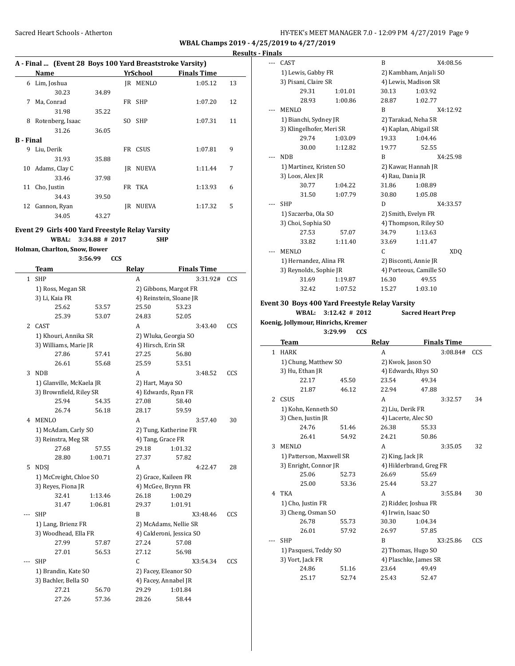#### **Results - Finals**

| A - Final  (Event 28 Boys 100 Yard Breaststroke Varsity) |                  |       |     |              |                    |    |
|----------------------------------------------------------|------------------|-------|-----|--------------|--------------------|----|
|                                                          | Name             |       |     | YrSchool     | <b>Finals Time</b> |    |
| 6                                                        | Lim, Joshua      |       | IR  | MENLO        | 1:05.12            | 13 |
|                                                          | 30.23            | 34.89 |     |              |                    |    |
| 7                                                        | Ma, Conrad       |       |     | FR SHP       | 1:07.20            | 12 |
|                                                          | 31.98            | 35.22 |     |              |                    |    |
| 8                                                        | Rotenberg, Isaac |       | SO. | <b>SHP</b>   | 1:07.31            | 11 |
|                                                          | 31.26            | 36.05 |     |              |                    |    |
| <b>B</b> - Final                                         |                  |       |     |              |                    |    |
| 9                                                        | Liu, Derik       |       |     | FR CSUS      | 1:07.81            | 9  |
|                                                          | 31.93            | 35.88 |     |              |                    |    |
| 10                                                       | Adams, Clay C    |       | IR  | <b>NUEVA</b> | 1:11.44            | 7  |
|                                                          | 33.46            | 37.98 |     |              |                    |    |
| 11                                                       | Cho, Justin      |       |     | FR TKA       | 1:13.93            | 6  |
|                                                          | 34.43            | 39.50 |     |              |                    |    |
| 12                                                       | Gannon, Ryan     |       | IR  | <b>NUEVA</b> | 1:17.32            | 5  |
|                                                          | 34.05            | 43.27 |     |              |                    |    |

#### **Event 29 Girls 400 Yard Freestyle Relay Varsity**

**3:56.99 CCS**

**WBAL: 3:34.88 # 2017 SHP**

#### **Holman, Charlton, Snow, Bower**

| 3:56.99 |  |
|---------|--|
|         |  |
|         |  |

|              | <b>Team</b>              |         | <b>Relay</b>         | <b>Finals Time</b>       |     |
|--------------|--------------------------|---------|----------------------|--------------------------|-----|
| $\mathbf{1}$ | <b>SHP</b>               |         | A                    | 3:31.92#                 | CCS |
|              | 1) Ross, Megan SR        |         |                      | 2) Gibbons, Margot FR    |     |
|              | 3) Li, Kaia FR           |         |                      | 4) Reinstein, Sloane JR  |     |
|              | 25.62                    | 53.57   | 25.50                | 53.23                    |     |
|              | 25.39                    | 53.07   | 24.83                | 52.05                    |     |
| 2            | CAST                     |         | A                    | 3:43.40                  | CCS |
|              | 1) Khouri, Annika SR     |         |                      | 2) Wluka, Georgia SO     |     |
|              | 3) Williams, Marie JR    |         | 4) Hirsch, Erin SR   |                          |     |
|              | 27.86                    | 57.41   | 27.25                | 56.80                    |     |
|              | 26.61                    | 55.68   | 25.59                | 53.51                    |     |
| 3            | <b>NDB</b>               |         | A                    | 3:48.52                  | CCS |
|              | 1) Glanville, McKaela JR |         | 2) Hart, Maya SO     |                          |     |
|              | 3) Brownfield, Riley SR  |         | 4) Edwards, Ryan FR  |                          |     |
|              | 25.94                    | 54.35   | 27.08                | 58.40                    |     |
|              | 26.74                    | 56.18   | 28.17                | 59.59                    |     |
| 4            | <b>MENLO</b>             |         | A                    | 3:57.40                  | 30  |
|              | 1) McAdam, Carly SO      |         |                      | 2) Tung, Katherine FR    |     |
|              | 3) Reinstra, Meg SR      |         | 4) Tang, Grace FR    |                          |     |
|              | 27.68                    | 57.55   | 29.18                | 1:01.32                  |     |
|              | 28.80                    | 1:00.71 | 27.37                | 57.82                    |     |
| 5.           | <b>NDSI</b>              |         | A                    | 4:22.47                  | 28  |
|              | 1) McCreight, Chloe SO   |         | 2) Grace, Kaileen FR |                          |     |
|              | 3) Reyes, Fiona JR       |         | 4) McGee, Brynn FR   |                          |     |
|              | 32.41                    | 1:13.46 | 26.18                | 1:00.29                  |     |
|              | 31.47                    | 1:06.81 | 29.37                | 1:01.91                  |     |
| $---$        | <b>SHP</b>               |         | B                    | X3:48.46                 | CCS |
|              | 1) Lang, Brienz FR       |         |                      | 2) McAdams, Nellie SR    |     |
|              | 3) Woodhead, Ella FR     |         |                      | 4) Calderoni, Jessica SO |     |
|              | 27.99                    | 57.87   | 27.24                | 57.08                    |     |
|              | 27.01                    | 56.53   | 27.12                | 56.98                    |     |
|              | <b>SHP</b>               |         | $\mathsf{C}$         | X3:54.34                 | CCS |
|              | 1) Brandin, Kate SO      |         | 2) Facey, Eleanor SO |                          |     |
|              | 3) Bachler, Bella SO     |         | 4) Facey, Annabel JR |                          |     |
|              | 27.21                    | 56.70   | 29.29                | 1:01.84                  |     |
|              | 27.26                    | 57.36   | 28.26                | 58.44                    |     |

| CAST                     |         | B                     | X4:08.56                |                 |
|--------------------------|---------|-----------------------|-------------------------|-----------------|
| 1) Lewis, Gabby FR       |         | 2) Kambham, Anjali SO |                         |                 |
| 3) Pisani, Claire SR     |         | 4) Lewis, Madison SR  |                         |                 |
| 29.31                    | 1:01.01 | 30.13                 | 1:03.92                 |                 |
| 28.93                    | 1:00.86 | 28.87                 | 1:02.77                 |                 |
| <b>MENLO</b>             |         | R                     | X4:12.92                |                 |
| 1) Bianchi, Sydney JR    |         | 2) Tarakad, Neha SR   |                         |                 |
| 3) Klingelhofer, Meri SR |         | 4) Kaplan, Abigail SR |                         |                 |
| 29.74                    | 1:03.09 | 19.33                 | 1:04.46                 |                 |
| 30.00                    | 1:12.82 | 19.77                 | 52.55                   |                 |
| <b>NDB</b>               |         | R                     | X4:25.98                |                 |
| 1) Martinez, Kristen SO  |         | 2) Kawar, Hannah JR   |                         |                 |
| 3) Loos, Alex JR         |         | 4) Rau, Dania JR      |                         |                 |
| 30.77                    | 1:04.22 | 31.86                 | 1:08.89                 |                 |
| 31.50                    | 1:07.79 | 30.80                 | 1:05.08                 |                 |
| <b>SHP</b>               |         | D                     | X4:33.57                |                 |
| 1) Szczerba, Ola SO      |         | 2) Smith, Evelyn FR   |                         |                 |
| 3) Choi, Sophia SO       |         |                       | 4) Thompson, Riley SO   |                 |
| 27.53                    | 57.07   | 34.79                 | 1:13.63                 |                 |
| 33.82                    | 1:11.40 | 33.69                 | 1:11.47                 |                 |
| MENLO                    |         | C                     |                         | XD <sub>O</sub> |
| 1) Hernandez, Alina FR   |         | 2) Bisconti, Annie JR |                         |                 |
| 3) Reynolds, Sophie JR   |         |                       | 4) Porteous, Camille SO |                 |
| 31.69                    | 1:19.87 | 16.30                 | 49.55                   |                 |
| 32.42                    | 1:07.52 | 15.27                 | 1:03.10                 |                 |

#### **Event 30 Boys 400 Yard Freestyle Relay Varsity**

**WBAL: 3:12.42 # 2012 Sacred Heart Prep**

**Koenig, Jollymour, Hinrichs, Kremer**

**3:29.99 CCS**

|                       | Team                     |       | <b>Relay</b>            |         | <b>Finals Time</b> |     |
|-----------------------|--------------------------|-------|-------------------------|---------|--------------------|-----|
| $\mathbf{1}$          | <b>HARK</b>              |       | A                       |         | 3:08.84#           | CCS |
|                       | 1) Chung, Matthew SO     |       | 2) Kwok, Jason SO       |         |                    |     |
|                       | 3) Hu, Ethan JR          |       | 4) Edwards, Rhys SO     |         |                    |     |
|                       | 22.17                    | 45.50 | 23.54                   | 49.34   |                    |     |
|                       | 21.87                    | 46.12 | 22.94                   | 47.88   |                    |     |
| $\mathbf{2}^{\prime}$ | CSUS                     |       | A                       |         | 3:32.57            | 34  |
|                       | 1) Kohn, Kenneth SO      |       | 2) Liu, Derik FR        |         |                    |     |
|                       | 3) Chen, Justin JR       |       | 4) Lacerte, Alec SO     |         |                    |     |
|                       | 24.76                    | 51.46 | 26.38                   | 55.33   |                    |     |
|                       | 26.41                    | 54.92 | 24.21                   | 50.86   |                    |     |
| 3                     | MENLO                    |       | A                       |         | 3:35.05            | 32  |
|                       | 1) Patterson, Maxwell SR |       | 2) King, Jack JR        |         |                    |     |
|                       | 3) Enright, Connor JR    |       | 4) Hilderbrand, Greg FR |         |                    |     |
|                       | 25.06                    | 52.73 | 26.69                   | 55.69   |                    |     |
|                       | 25.00                    | 53.36 | 25.44                   | 53.27   |                    |     |
| 4                     | <b>TKA</b>               |       | A                       |         | 3:55.84            | 30  |
|                       | 1) Cho, Justin FR        |       | 2) Ridder, Joshua FR    |         |                    |     |
|                       | 3) Cheng, Osman SO       |       | 4) Irwin, Isaac SO      |         |                    |     |
|                       | 26.78                    | 55.73 | 30.30                   | 1:04.34 |                    |     |
|                       | 26.01                    | 57.92 | 26.97                   | 57.85   |                    |     |
|                       | <b>SHP</b>               |       | B                       |         | X3:25.86           | CCS |
|                       | 1) Pasquesi, Teddy SO    |       | 2) Thomas, Hugo SO      |         |                    |     |
|                       | 3) Vort, Jack FR         |       | 4) Plaschke, James SR   |         |                    |     |
|                       | 24.86                    | 51.16 | 23.64                   | 49.49   |                    |     |
|                       | 25.17                    | 52.74 | 25.43                   | 52.47   |                    |     |